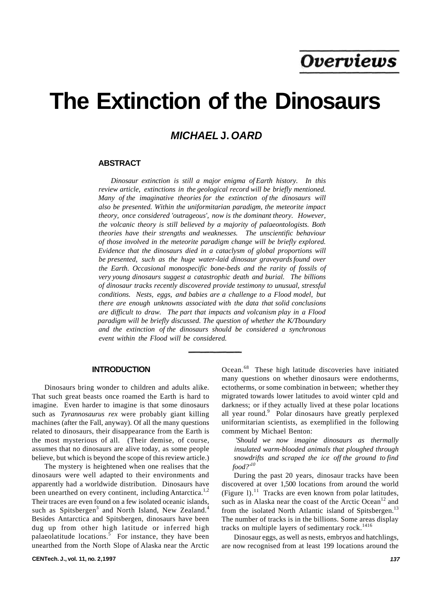# **The Extinction of the Dinosaurs**

# **MICHAEL J. OARD**

## **ABSTRACT**

*Dinosaur extinction is still a major enigma of Earth history. In this review article, extinctions in the geological record will be briefly mentioned. Many of the imaginative theories for the extinction of the dinosaurs will also be presented. Within the uniformitarian paradigm, the meteorite impact theory, once considered 'outrageous', now is the dominant theory. However, the volcanic theory is still believed by a majority of palaeontologists. Both theories have their strengths and weaknesses. The unscientific behaviour of those involved in the meteorite paradigm change will be briefly explored. Evidence that the dinosaurs died in a cataclysm of global proportions will be presented, such as the huge water-laid dinosaur graveyards found over the Earth. Occasional monospecific bone-beds and the rarity of fossils of very young dinosaurs suggest a catastrophic death and burial. The billions of dinosaur tracks recently discovered provide testimony to unusual, stressful conditions. Nests, eggs, and babies are a challenge to a Flood model, but there are enough unknowns associated with the data that solid conclusions are difficult to draw. The part that impacts and volcanism play in a Flood paradigm will be briefly discussed. The question of whether the K/Tboundary and the extinction of the dinosaurs should be considered a synchronous event within the Flood will be considered.* 

#### **INTRODUCTION**

Dinosaurs bring wonder to children and adults alike. That such great beasts once roamed the Earth is hard to imagine. Even harder to imagine is that some dinosaurs such as *Tyrannosaurus rex* were probably giant killing machines (after the Fall, anyway). Of all the many questions related to dinosaurs, their disappearance from the Earth is the most mysterious of all. (Their demise, of course, assumes that no dinosaurs are alive today, as some people believe, but which is beyond the scope of this review article.)

The mystery is heightened when one realises that the dinosaurs were well adapted to their environments and apparently had a worldwide distribution. Dinosaurs have been unearthed on every continent, including Antarctica.<sup>1,2</sup> Their traces are even found on a few isolated oceanic islands, such as Spitsbergen<sup>3</sup> and North Island, New Zealand.<sup>4</sup> Besides Antarctica and Spitsbergen, dinosaurs have been dug up from other high latitude or inferred high palaeolatitude locations.<sup>5</sup> For instance, they have been unearthed from the North Slope of Alaska near the Arctic

**CENTech. J., vol. 11, no. 2,1997 137** 

Ocean.<sup>68</sup> These high latitude discoveries have initiated many questions on whether dinosaurs were endotherms, ectotherms, or some combination in between; whether they migrated towards lower latitudes to avoid winter cpld and darkness; or if they actually lived at these polar locations all year round.<sup>9</sup> Polar dinosaurs have greatly perplexed uniformitarian scientists, as exemplified in the following comment by Michael Benton:

*'Should we now imagine dinosaurs as thermally insulated warm-blooded animals that ploughed through snowdrifts and scraped the ice off the ground to find food?'<sup>10</sup>*

During the past 20 years, dinosaur tracks have been discovered at over 1,500 locations from around the world (Figure 1).<sup>11</sup> Tracks are even known from polar latitudes, such as in Alaska near the coast of the Arctic Ocean<sup>12</sup> and from the isolated North Atlantic island of Spitsbergen.<sup>13</sup> The number of tracks is in the billions. Some areas display tracks on multiple layers of sedimentary rock.<sup>1416</sup>

Dinosaur eggs, as well as nests, embryos and hatchlings, are now recognised from at least 199 locations around the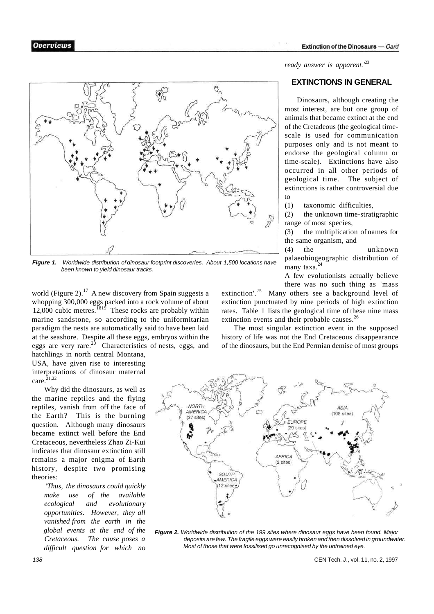

**Figure 1.** Worldwide distribution of dinosaur footprint discoveries. About 1,500 locations have been known to yield dinosaur tracks.

world (Figure 2).<sup>17</sup> A new discovery from Spain suggests a whopping 300,000 eggs packed into a rock volume of about 12,000 cubic metres. $1819$  These rocks are probably within marine sandstone, so according to the uniformitarian paradigm the nests are automatically said to have been laid at the seashore. Despite all these eggs, embryos within the eggs are very rare.<sup>20</sup> Characteristics of nests, eggs, and

hatchlings in north central Montana, USA, have given rise to interesting interpretations of dinosaur maternal care. $2^{1,22}$ 

Why did the dinosaurs, as well as the marine reptiles and the flying reptiles, vanish from off the face of the Earth? This is the burning question. Although many dinosaurs became extinct well before the End Cretaceous, nevertheless Zhao Zi-Kui indicates that dinosaur extinction still remains a major enigma of Earth history, despite two promising theories:

*'Thus, the dinosaurs could quickly make use of the available ecological and evolutionary opportunities. However, they all vanished from the earth in the global events at the end of the Cretaceous. The cause poses a difficult question for which no*  *ready answer is apparent.'*<sup>23</sup>

# **EXTINCTIONS IN GENERAL**

Dinosaurs, although creating the most interest, are but one group of animals that became extinct at the end of the Cretadeous (the geological timescale is used for communication purposes only and is not meant to endorse the geological column or time-scale). Extinctions have also occurred in all other periods of geological time. The subject of extinctions is rather controversial due to

(1) taxonomic difficulties,

(2) the unknown time-stratigraphic range of most species,

(3) the multiplication of names for the same organism, and

(4) the unknown palaeobiogeographic distribution of many taxa.<sup>24</sup>

A few evolutionists actually believe there was no such thing as 'mass

extinction'.<sup>25</sup> Many others see a background level of extinction punctuated by nine periods of high extinction rates. Table 1 lists the geological time of these nine mass extinction events and their probable causes.<sup>26</sup>

The most singular extinction event in the supposed history of life was not the End Cretaceous disappearance of the dinosaurs, but the End Permian demise of most groups



**Figure 2.** Worldwide distribution of the 199 sites where dinosaur eggs have been found. Major deposits are few. The fragile eggs were easily broken and then dissolved in groundwater. Most of those that were fossilised go unrecognised by the untrained eye.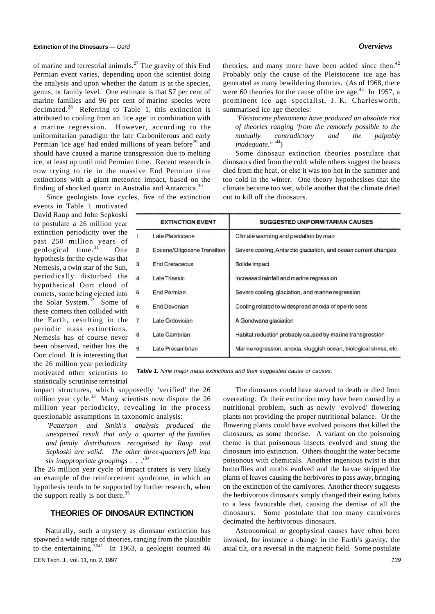of marine and terrestrial animals.<sup>27</sup> The gravity of this End Permian event varies, depending upon the scientist doing the analysis and upon whether the datum is at the species, genus, or family level. One estimate is that 57 per cent of marine families and 96 per cent of marine species were decimated.<sup>28</sup> Referring to Table 1, this extinction is attributed to cooling from an 'ice age' in combination with a marine regression. However, according to the uniformitarian paradigm the late Carboniferous and early Permian 'ice age' had ended millions of years before<sup>29</sup> and should have caused a marine transgression due to melting ice, at least up until mid Permian time. Recent research is now trying to tie in the massive End Permian time extinctions with a giant meteorite impact, based on the finding of shocked quartz in Australia and Antarctica. $3$ 

Since geologists love cycles, five of the extinction

events in Table 1 motivated David Raup and John Sepkoski to postulate a 26 million year extinction periodicity over the past 250 million years of geological time.<sup>31</sup> One hypothesis for the cycle was that Nemesis, a twin star of the Sun, periodically disturbed the hypothetical Oort cloud of comets, some being ejected into the Solar System.<sup>32</sup> Some of these comets then collided with the Earth, resulting in the periodic mass extinctions. Nemesis has of course never been observed, neither has the Oort cloud. It is interesting that the 26 million year periodicity motivated other scientists to statistically scrutinise terrestrial

theories, and many more have been added since then.<sup>42</sup> Probably only the cause of the Pleistocene ice age has generated as many bewildering theories. (As of 1968, there were 60 theories for the cause of the ice age. $^{43}$  In 1957, a prominent ice age specialist, J. K. Charlesworth, summarised ice age theories:

*'Pleistocene phenomena have produced an absolute riot of theories ranging 'from the remotely possible to the mutually contradictory and the palpably*  inadequate."<sup>44</sup>)

Some dinosaur extinction theories postulate that dinosaurs died from the cold, while others suggest the beasts died from the heat, or else it was too hot in the summer and too cold in the winter. One theory hypothesises that the climate became too wet, while another that the climate dried out to kill off the dinosaurs.

|                  | <b>EXTINCTION EVENT</b>     | <b>SUGGESTED UNIFORMITARIAN CAUSES</b>                             |
|------------------|-----------------------------|--------------------------------------------------------------------|
| $\mathbf{1}$ .   | Late Pleistocene            | Climate warming and predation by man                               |
| $\overline{2}$ . | Eocene/Oligocene Transition | Severe cooling, Antarctic glaciation, and ocean current changes    |
| 3.               | <b>End Cretaceous</b>       | <b>Bolide</b> impact                                               |
| 4.               | Late Triassic               | Increased rainfall and marine regression                           |
| 5.               | <b>End Permian</b>          | Severe cooling, glaciation, and marine regression                  |
| 6.               | <b>End Devonian</b>         | Cooling related to widespread anoxia of epeiric seas               |
| 7.               | Late Ordovician             | A Gondwana glaciation                                              |
| 8.               | Late Cambrian               | Habitat reduction probably caused by marine transgression          |
| 9.               | Late Precambrian            | Marine regression, anoxia, sluggish ocean, biological stress, etc. |

Table 1. Nine major mass extinctions and their suggested cause or causes.

impact structures, which supposedly 'verified' the 26 million year cycle.<sup>33</sup> Many scientists now dispute the  $26$ million year periodicity, revealing in the process questionable assumptions in taxonomic analysis:

*'Patterson and Smith's analysis produced the unexpected result that only a quarter of the families and family distributions recognised by Raup and Sepkoski are valid. The other three-quarters fell into six inappropriate groupings* . . ,'<sup>34</sup>

The 26 million year cycle of impact craters is very likely an example of the reinforcement syndrome, in which an hypothesis tends to be supported by further research, when the support really is not there.<sup>35</sup>

# **THEORIES OF DINOSAUR EXTINCTION**

Naturally, such a mystery as dinosaur extinction has spawned a wide range of theories, ranging from the plausible to the entertaining.<sup>3641</sup> In 1963, a geologist counted 46

The dinosaurs could have starved to death or died from overeating. Or their extinction may have been caused by a nutritional problem, such as newly 'evolved' flowering plants not providing the proper nutritional balance. Or the flowering plants could have evolved poisons that killed the dinosaurs, as some theorise. A variant on the poisoning theme is that poisonous insects evolved and stung the dinosaurs into extinction. Others thought the water became poisonous with chemicals. Another ingenious twist is that butterflies and moths evolved and the larvae stripped the plants of leaves causing the herbivores to pass away, bringing on the extinction of the carnivores. Another theory suggests the herbivorous dinosaurs simply changed their eating habits to a less favourable diet, causing the demise of all the dinosaurs. Some postulate that too many carnivores decimated the herbivorous dinosaurs.

Astronomical or geophysical causes have often been invoked, for instance a change in the Earth's gravity, the axial tilt, or a reversal in the magnetic field. Some postulate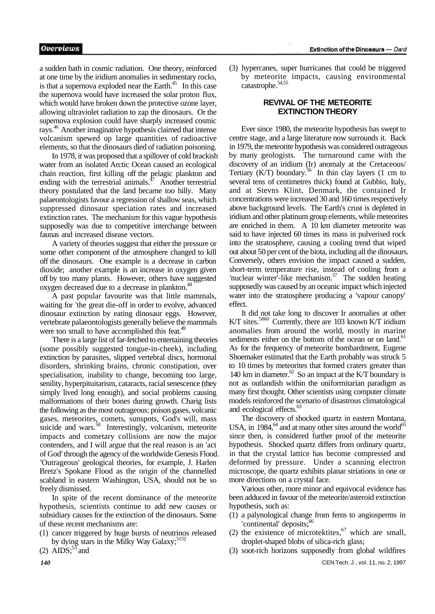a sudden bath in cosmic radiation. One theory, reinforced at one time by the iridium anomalies in sedimentary rocks, is that a supernova exploded near the Earth. $45$  In this case the supernova would have increased the solar proton flux, which would have broken down the protective ozone layer, allowing ultraviolet radiation to zap the dinosaurs. Or the supernova explosion could have sharply increased cosmic rays.<sup>46</sup> Another imaginative hypothesis claimed that intense volcanism spewed up large quantities of radioactive elements, so that the dinosaurs died of radiation poisoning.

In 1978, it was proposed that a spillover of cold brackish water from an isolated Arctic Ocean caused an ecological chain reaction, first killing off the pelagic plankton and ending with the terrestrial animals. $^{47}$  Another terrestrial theory postulated that the land became too hilly. Many palaeontologists favour a regression of shallow seas, which suppressed dinosaur speciation rates and increased extinction rates. The mechanism for this vague hypothesis supposedly was due to competitive interchange between faunas and increased disease vectors.

A variety of theories suggest that either the pressure or some other component of the atmosphere changed to kill off the dinosaurs. One example is a decrease in carbon dioxide; another example is an increase in oxygen given off by too many plants. However, others have suggested oxygen decreased due to a decrease in plankton.<sup>4</sup>

A past popular favourite was that little mammals, waiting for 'the great die-off in order to evolve, advanced dinosaur extinction by eating dinosaur eggs. However, vertebrate palaeontologists generally believe the mammals were too small to have accomplished this feat.<sup>49</sup>

There is a large list of far-fetched to entertaining theories (some possibly suggested tongue-in-cheek), including extinction by parasites, slipped vertebral discs, hormonal disorders, shrinking brains, chronic constipation, over specialisation, inability to change, becoming too large, senility, hyperpituitarism, cataracts, racial senescence (they simply lived long enough), and social problems causing malformations of their bones during growth. Charig lists the following as the most outrageous: poison gases, volcanic gases, meteorites, comets, sunspots, God's will, mass suicide and wars.<sup>50</sup> Interestingly, volcanism, meteorite impacts and cometary collisions are now the major contenders, and I will argue that the real reason is an 'act of God' through the agency of the worldwide Genesis Flood. 'Outrageous' geological theories, for example, J. Harlen Bretz's Spokane Flood as the origin of the channelled scabland in eastern Washington, USA, should not be so freely dismissed.

In spite of the recent dominance of the meteorite hypothesis, scientists continue to add new causes or subsidiary causes for the extinction of the dinosaurs. Some of these recent mechanisms are:

- (1) cancer triggered by huge bursts of neutrinos released by dying stars in the Milky Way Galaxy; $5152$
- (2)  $\overline{AIDS}$ ;<sup>53</sup> and

(3) hypercanes, super hurricanes that could be triggered by meteorite impacts, causing environmental catastrophe.<sup>54,55</sup>

# **REVIVAL OF THE METEORITE EXTINCTION THEORY**

Ever since 1980, the meteorite hypothesis has swept to centre stage, and a large literature now surrounds it. Back in 1979, the meteorite hypothesis was considered outrageous by many geologists. The turnaround came with the discovery of an iridium (Ir) anomaly at the Cretaceous/ Tertiary  $(K/T)$  boundary.<sup>56</sup> In thin clay layers (1 cm to several tens of centimetres thick) found at Gubbio, Italy, and at Stevns Klint, Denmark, the contained Ir concentrations were increased 30 and 160 times respectively above background levels. The Earth's crust is depleted in iridium and other platinum group elements, while meteorites are enriched in them. A 10 km diameter meteorite was said to have injected 60 times its mass in pulverised rock into the stratosphere, causing a cooling trend that wiped out about 50 per cent of the biota, including all the dinosaurs. Conversely, others envision the impact caused a sudden, short-term temperature rise, instead of cooling from a 'nuclear winter'-like mechanism.<sup>57</sup> The sudden heating supposedly was caused by an oceanic impact which injected water into the stratosphere producing a 'vapour canopy' effect.

It did not take long to discover Ir anomalies at other K/T sites.<sup>5860</sup> Currently, there are 103 known K/T iridium anomalies from around the world, mostly in marine sediments either on the bottom of the ocean or on land.<sup>61</sup> As for the frequency of meteorite bombardment, Eugene Shoemaker estimated that the Earth probably was struck 5 to 10 times by meteorites that formed craters greater than 140 km in diameter. $^{62}$  So an impact at the K/T boundary is not as outlandish within the uniformitarian paradigm as many first thought. Other scientists using computer climate models reinforced the scenario of disastrous climatological and ecological effects.<sup>6</sup>

The discovery of shocked quartz in eastern Montana, USA, in 1984, $^{64}$  and at many other sites around the world $^{65}$ since then, is considered further proof of the meteorite hypothesis. Shocked quartz differs from ordinary quartz, in that the crystal lattice has become compressed and deformed by pressure. Under a scanning electron microscope, the quartz exhibits planar striations in one or more directions on a crystal face.

Various other, more minor and equivocal evidence has been adduced in favour of the meteorite/asteroid extinction hypothesis, such as:

- (1) a palynological change from ferns to angiosperms in 'continental' deposits;<sup>66</sup>
- (2) the existence of microtektites,  $67$  which are small, droplet-shaped blobs of silica-rich glass;
- (3) soot-rich horizons supposedly from global wildfires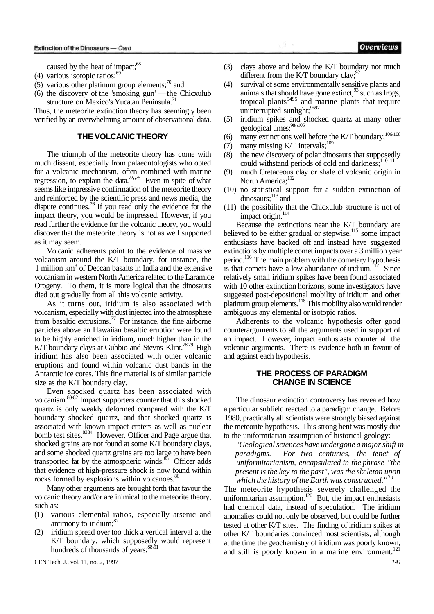caused by the heat of impact;<sup>68</sup>

- (4) various isotopic ratios; $69$
- (5) various other platinum group elements; $\frac{70}{10}$  and
- (6) the discovery of the 'smoking gun' —the Chicxulub structure on Mexico's Yucatan Peninsula.<sup>71</sup>

Thus, the meteorite extinction theory has seemingly been verified by an overwhelming amount of observational data.

#### **THE VOLCANIC THEORY**

The triumph of the meteorite theory has come with much dissent, especially from palaeontologists who opted for a volcanic mechanism, often combined with marine regression, to explain the data.<sup>72,175</sup> Even in spite of what seems like impressive confirmation of the meteorite theory and reinforced by the scientific press and news media, the dispute continues.<sup>76</sup> If you read only the evidence for the impact theory, you would be impressed. However, if you read further the evidence for the volcanic theory, you would discover that the meteorite theory is not as well supported as it may seem.

Volcanic adherents point to the evidence of massive volcanism around the K/T boundary, for instance, the 1 million  $km^3$  of Deccan basalts in India and the extensive volcanism in western North America related to the Laramide Orogeny. To them, it is more logical that the dinosaurs died out gradually from all this volcanic activity.

As it turns out, iridium is also associated with volcanism, especially with dust injected into the atmosphere from basaltic extrusions.<sup>77</sup> For instance, the fine airborne particles above an Hawaiian basaltic eruption were found to be highly enriched in iridium, much higher than in the K/T boundary clays at Gubbio and Stevns Klint.<sup>78,79</sup> High iridium has also been associated with other volcanic eruptions and found within volcanic dust bands in the Antarctic ice cores. This fine material is of similar particle size as the K/T boundary clay.

Even shocked quartz has been associated with volcanism.<sup>80-82</sup> Impact supporters counter that this shocked quartz is only weakly deformed compared with the K/T boundary shocked quartz, and that shocked quartz is associated with known impact craters as well as nuclear bomb test sites.<sup>8384</sup> However, Officer and Page argue that shocked grains are not found at some K/T boundary clays, and some shocked quartz grains are too large to have been transported far by the atmospheric winds. $85$  Officer adds that evidence of high-pressure shock is now found within rocks formed by explosions within volcanoes.<sup>86</sup>

Many other arguments are brought forth that favour the volcanic theory and/or are inimical to the meteorite theory, such as:

- (1) various elemental ratios, especially arsenic and antimony to iridium;<sup>87</sup>
- (2) iridium spread over too thick a vertical interval at the K/T boundary, which supposedly would represent hundreds of thousands of years; $88,91$

CEN Tech. J., vol. 11, no. 2, 1997 *141* 

- (3) clays above and below the K/T boundary not much different from the K/T boundary clay;  $92$
- (4) survival of some environmentally sensitive plants and animals that should have gone extinct,<sup>93</sup> such as frogs, tropical plants<sup>9495</sup> and marine plants that require uninterrupted sunlight;<sup>9697</sup>
- (5) iridium spikes and shocked quartz at many other geological times;<sup>98</sup>"<sup>105</sup>
- (6) many extinctions well before the K/T boundary;<sup>106 $108$ </sup>
- (7) many missing K/T intervals; $^{109}$
- (8) the new discovery of polar dinosaurs that supposedly could withstand periods of cold and darkness;<sup>110111</sup>
- (9) much Cretaceous clay or shale of volcanic origin in North America;<sup>112</sup>
- (10) no statistical support for a sudden extinction of dinosaurs;<sup>113</sup> and
- (11) the possibility that the Chicxulub structure is not of impact origin.<sup>114</sup>

Because the extinctions near the K/T boundary are believed to be either gradual or stepwise, $115$  some impact enthusiasts have backed off and instead have suggested extinctions by multiple comet impacts over a 3 million year period.<sup>116</sup> The main problem with the cometary hypothesis is that comets have a low abundance of iridium.<sup>117</sup> Since relatively small iridium spikes have been found associated with 10 other extinction horizons, some investigators have suggested post-depositional mobility of iridium and other platinum group elements.<sup>118</sup> This mobility also would render ambiguous any elemental or isotopic ratios.

Adherents to the volcanic hypothesis offer good counterarguments to all the arguments used in support of an impact. However, impact enthusiasts counter all the volcanic arguments. There is evidence both in favour of and against each hypothesis.

# **THE PROCESS OF PARADIGM CHANGE IN SCIENCE**

The dinosaur extinction controversy has revealed how a particular subfield reacted to a paradigm change. Before 1980, practically all scientists were strongly biased against the meteorite hypothesis. This strong bent was mostly due to the uniformitarian assumption of historical geology:

*'Geological sciences have undergone a major shift in paradigms. For two centuries, the tenet of uniformitarianism, encapsulated in the phrase "the present is the key to the past", was the skeleton upon which the history of the Earth was constructed.'<sup>119</sup>*

The meteorite hypothesis severely challenged the uniformitarian assumption. $^{120}$  But, the impact enthusiasts had chemical data, instead of speculation. The iridium anomalies could not only be observed, but could be further tested at other K/T sites. The finding of iridium spikes at other K/T boundaries convinced most scientists, although at the time the geochemistry of iridium was poorly known, and still is poorly known in a marine environment.<sup>121</sup>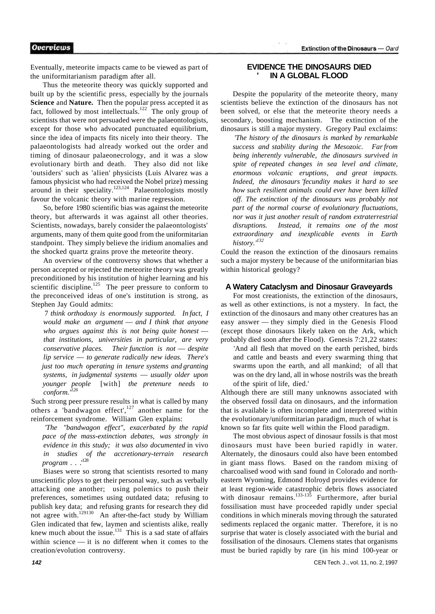Eventually, meteorite impacts came to be viewed as part of the uniformitarianism paradigm after all.

Thus the meteorite theory was quickly supported and built up by the scientific press, especially by the journals **Science** and **Nature.** Then the popular press accepted it as fact, followed by most intellectuals.<sup>122</sup> The only group of scientists that were not persuaded were the palaeontologists, except for those who advocated punctuated equilibrium, since the idea of impacts fits nicely into their theory. The palaeontologists had already worked out the order and timing of dinosaur palaeonecrology, and it was a slow evolutionary birth and death. They also did not like 'outsiders' such as 'alien' physicists (Luis Alvarez was a famous physicist who had received the Nobel prize) messing around in their speciality.<sup>123,124</sup> Palaeontologists mostly favour the volcanic theory with marine regression.

So, before 1980 scientific bias was against the meteorite theory, but afterwards it was against all other theories. Scientists, nowadays, barely consider the palaeontologists' arguments, many of them quite good from the uniformitarian standpoint. They simply believe the iridium anomalies and the shocked quartz grains prove the meteorite theory.

An overview of the controversy shows that whether a person accepted or rejected the meteorite theory was greatly preconditioned by his institution of higher learning and his scientific discipline.<sup>125</sup> The peer pressure to conform to the preconceived ideas of one's institution is strong, as Stephen Jay Gould admits:

7 *think orthodoxy is enormously supported. In fact, I would make an argument* — *and I think that anyone who argues against this is not being quite honest that institutions, universities in particular, are very conservative places. Their function is not* — *despite lip service* — *to generate radically new ideas. There's just too much operating in tenure systems and granting systems, in judgmental systems* — *usually older upon younger people* [with] *the pretenure needs to conform.'<sup>126</sup>*

Such strong peer pressure results in what is called by many others a 'bandwagon effect', $127$  another name for the reinforcement syndrome. William Glen explains:

*'The "bandwagon effect", exacerbated by the rapid pace of the mass-extinction debates, was strongly in evidence in this study; it was also documented* in vivo *in studies of the accretionary-terrain research program* . . .<sup>128</sup>

Biases were so strong that scientists resorted to many unscientific ploys to get their personal way, such as verbally attacking one another; using polemics to push their preferences, sometimes using outdated data; refusing to publish key data; and refusing grants for research they did not agree with.<sup>129130</sup> An after-the-fact study by William Glen indicated that few, laymen and scientists alike, really knew much about the issue.<sup>131</sup> This is a sad state of affairs within science — it is no different when it comes to the creation/evolution controversy.

# **EVIDENCE THE DINOSAURS DIED IN A GLOBAL FLOOD**

Despite the popularity of the meteorite theory, many scientists believe the extinction of the dinosaurs has not been solved, or else that the meteorite theory needs a secondary, boosting mechanism. The extinction of the dinosaurs is still a major mystery. Gregory Paul exclaims:

*'The history of the dinosaurs is marked by remarkable success and stability during the Mesozoic. Far from being inherently vulnerable, the dinosaurs survived in spite of repeated changes in sea level and climate, enormous volcanic eruptions, and great impacts. Indeed, the dinosaurs 'fecundity makes it hard to see how such resilient animals could ever have been killed off. The extinction of the dinosaurs was probably not part of the normal course of evolutionary fluctuations, nor was it just another result of random extraterrestrial disruptions. Instead, it remains one of the most extraordinary and inexplicable events in Earth history.'<sup>132</sup>*

Could the reason the extinction of the dinosaurs remains such a major mystery be because of the uniformitarian bias within historical geology?

#### **A Watery Cataclysm and Dinosaur Graveyards**

For most creationists, the extinction of the dinosaurs, as well as other extinctions, is not a mystery. In fact, the extinction of the dinosaurs and many other creatures has an easy answer — they simply died in the Genesis Flood (except those dinosaurs likely taken on the Ark, which probably died soon after the Flood). Genesis 7:21,22 states:

'And all flesh that moved on the earth perished, birds and cattle and beasts and every swarming thing that swarms upon the earth, and all mankind; of all that was on the dry land, all in whose nostrils was the breath of the spirit of life, died.'

Although there are still many unknowns associated with the observed fossil data on dinosaurs, and the information that is available is often incomplete and interpreted within the evolutionary/uniformitarian paradigm, much of what is known so far fits quite well within the Flood paradigm.

The most obvious aspect of dinosaur fossils is that most dinosaurs must have been buried rapidly in water. Alternately, the dinosaurs could also have been entombed in giant mass flows. Based on the random mixing of charcoalised wood with sand found in Colorado and northeastern Wyoming, Edmond Holroyd provides evidence for at least region-wide catastrophic debris flows associated with dinosaur remains.<sup>133-135</sup> Furthermore, after burial fossilisation must have proceeded rapidly under special conditions in which minerals moving through the saturated sediments replaced the organic matter. Therefore, it is no surprise that water is closely associated with the burial and fossilisation of the dinosaurs. Clemens states that organisms must be buried rapidly by rare (in his mind 100-year or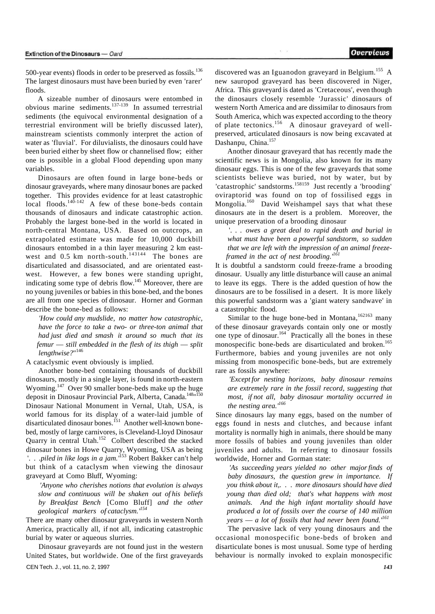**Overviews** 

500-year events) floods in order to be preserved as fossils.<sup>136</sup> The largest dinosaurs must have been buried by even 'rarer' floods.

A sizeable number of dinosaurs were entombed in obvious marine sediments.<sup>137-139</sup> In assumed terrestrial sediments (the equivocal environmental designation of a terrestrial environment will be briefly discussed later), mainstream scientists commonly interpret the action of water as 'fluvial'. For diluvialists, the dinosaurs could have been buried either by sheet flow or channelised flow; either one is possible in a global Flood depending upon many variables.

Dinosaurs are often found in large bone-beds or dinosaur graveyards, where many dinosaur bones are packed together. This provides evidence for at least catastrophic local floods.<sup>140-142</sup> A few of these bone-beds contain thousands of dinosaurs and indicate catastrophic action. Probably the largest bone-bed in the world is located in north-central Montana, USA. Based on outcrops, an extrapolated estimate was made for 10,000 duckbill dinosaurs entombed in a thin layer measuring 2 km eastwest and  $0.5$  km north-south.<sup>143144</sup> The bones are disarticulated and disassociated, and are orientated eastwest. However, a few bones were standing upright, indicating some type of debris flow.<sup>145</sup> Moreover, there are no young juveniles or babies in this bone-bed, and the bones are all from one species of dinosaur. Horner and Gorman describe the bone-bed as follows:

*'How could any mudslide, no matter how catastrophic, have the force to take a two- or three-ton animal that had just died and smash it around so much that its femur* — *still embedded in the flesh of its thigh* — *split lengthwise?*" 146

A cataclysmic event obviously is implied.

Another bone-bed containing thousands of duckbill dinosaurs, mostly in a single layer, is found in north-eastern Wyoming.<sup>147</sup> Over 90 smaller bone-beds make up the huge deposit in Dinosaur Provincial Park, Alberta, Canada.<sup>148</sup>"<sup>150</sup> Dinosaur National Monument in Vernal, Utah, USA, is world famous for its display of a water-laid jumble of disarticulated dinosaur bones.<sup>151</sup> Another well-known bonebed, mostly of large carnivores, is Cleveland-Lloyd Dinosaur Quarry in central Utah.<sup>152</sup> Colbert described the stacked dinosaur bones in Howe Quarry, Wyoming, USA as being '. . *.piled in like logs in a jam.'*<sup>153</sup> Robert Bakker can't help but think of a cataclysm when viewing the dinosaur graveyard at Como Bluff, Wyoming:

*'Anyone who cherishes notions that evolution is always slow and continuous will be shaken out of his beliefs by Breakfast Bench* [Como Bluff] *and the other geological markers of cataclysm.'<sup>154</sup>*

There are many other dinosaur graveyards in western North America, practically all, if not all, indicating catastrophic burial by water or aqueous slurries.

Dinosaur graveyards are not found just in the western United States, but worldwide. One of the first graveyards CEN Tech. J., vol. 11, no. 2, 1997 *143* 

discovered was an Iguanodon graveyard in Belgium.<sup>155</sup> A new sauropod graveyard has been discovered in Niger, Africa. This graveyard is dated as 'Cretaceous', even though the dinosaurs closely resemble 'Jurassic' dinosaurs of western North America and are dissimilar to dinosaurs from South America, which was expected according to the theory of plate tectonics.<sup>156</sup> A dinosaur graveyard of wellpreserved, articulated dinosaurs is now being excavated at Dashanpu, China.<sup>157</sup>

Another dinosaur graveyard that has recently made the scientific news is in Mongolia, also known for its many dinosaur eggs. This is one of the few graveyards that some scientists believe was buried, not by water, but by 'catastrophic' sandstorms.<sup>158159</sup> Just recently a 'brooding' oviraptorid was found on top of fossilised eggs in Mongolia.<sup>160</sup> David Weishampel says that what these dinosaurs ate in the desert is a problem. Moreover, the unique preservation of a brooding dinosaur

'. . . *owes a great deal to rapid death and burial in what must have been a powerful sandstorm, so sudden that we are left with the impression of an animal freezeframed in the act of nest brooding.'<sup>161</sup>*

It is doubtful a sandstorm could freeze-frame a brooding dinosaur. Usually any little disturbance will cause an animal to leave its eggs. There is the added question of how the dinosaurs are to be fossilised in a desert. It is more likely this powerful sandstorm was a 'giant watery sandwave' in a catastrophic flood.

Similar to the huge bone-bed in Montana,  $162163$  many of these dinosaur graveyards contain only one or mostly one type of dinosaur.<sup>164</sup> Practically all the bones in these monospecific bone-beds are disarticulated and broken.<sup>165</sup> Furthermore, babies and young juveniles are not only missing from monospecific bone-beds, but are extremely rare as fossils anywhere:

*'Except for nesting horizons, baby dinosaur remains are extremely rare in the fossil record, suggesting that most, if not all, baby dinosaur mortality occurred in the nesting area.'<sup>166</sup>*

Since dinosaurs lay many eggs, based on the number of eggs found in nests and clutches, and because infant mortality is normally high in animals, there should be many more fossils of babies and young juveniles than older juveniles and adults. In referring to dinosaur fossils worldwide, Horner and Gorman state:

*'As succeeding years yielded no other major finds of baby dinosaurs, the question grew in importance. If you think about it,. . . more dinosaurs should have died young than died old; that's what happens with most animals. And the high infant mortality should have produced a lot of fossils over the course of 140 million years* — *a lot of fossils that had never been found.'<sup>161</sup>*

The pervasive lack of very young dinosaurs and the occasional monospecific bone-beds of broken and disarticulate bones is most unusual. Some type of herding behaviour is normally invoked to explain monospecific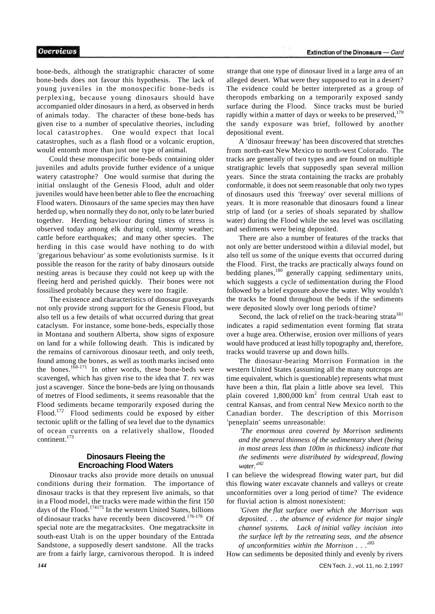bone-beds, although the stratigraphic character of some bone-beds does not favour this hypothesis. The lack of young juveniles in the monospecific bone-beds is perplexing, because young dinosaurs should have accompanied older dinosaurs in a herd, as observed in herds of animals today. The character of these bone-beds has given rise to a number of speculative theories, including local catastrophes. One would expect that local catastrophes, such as a flash flood or a volcanic eruption, would entomb more than just one type of animal.

Could these monospecific bone-beds containing older juveniles and adults provide further evidence of a unique watery catastrophe? One would surmise that during the initial onslaught of the Genesis Flood, adult and older juveniles would have been better able to flee the encroaching Flood waters. Dinosaurs of the same species may then have herded up, when normally they do not, only to be later buried together. Herding behaviour during times of stress is observed today among elk during cold, stormy weather; cattle before earthquakes; and many other species. The herding in this case would have nothing to do with 'gregarious behaviour' as some evolutionists surmise. Is it possible the reason for the rarity of baby dinosaurs outside nesting areas is because they could not keep up with the fleeing herd and perished quickly. Their bones were not fossilised probably because they were too fragile.

The existence and characteristics of dinosaur graveyards not only provide strong support for the Genesis Flood, but also tell us a few details of what occurred during that great cataclysm. For instance, some bone-beds, especially those in Montana and southern Alberta, show signs of exposure on land for a while following death. This is indicated by the remains of carnivorous dinosaur teeth, and only teeth, found among the bones, as well as tooth marks incised onto the bones.<sup>168-171</sup> In other words, these bone-beds were scavenged, which has given rise to the idea that *T. rex* was just a scavenger. Since the bone-beds are lying on thousands of metres of Flood sediments, it seems reasonable that the Flood sediments became temporarily exposed during the Flood.<sup>172</sup> Flood sediments could be exposed by either tectonic uplift or the falling of sea level due to the dynamics of ocean currents on a relatively shallow, flooded continent.<sup>173</sup>

#### **Dinosaurs Fleeing the Encroaching Flood Waters**

Dinosaur tracks also provide more details on unusual conditions during their formation. The importance of dinosaur tracks is that they represent live animals, so that in a Flood model, the tracks were made within the first 150 days of the Flood.<sup>174175</sup> In the western United States, billions of dinosaur tracks have recently been discovered.<sup>176-178</sup> Of special note are the megatracksites. One megatracksite in south-east Utah is on the upper boundary of the Entrada Sandstone, a supposedly desert sandstone. All the tracks are from a fairly large, carnivorous theropod. It is indeed

strange that one type of dinosaur lived in a large area of an alleged desert. What were they supposed to eat in a desert? The evidence could be better interpreted as a group of theropods embarking on a temporarily exposed sandy surface during the Flood. Since tracks must be buried rapidly within a matter of days or weeks to be preserved, $179$ the sandy exposure was brief, followed by another depositional event.

A 'dinosaur freeway' has been discovered that stretches from north-east New Mexico to north-west Colorado. The tracks are generally of two types and are found on multiple stratigraphic levels that supposedly span several million years. Since the strata containing the tracks are probably conformable, it does not seem reasonable that only two types of dinosaurs used this 'freeway' over several millions of years. It is more reasonable that dinosaurs found a linear strip of land (or a series of shoals separated by shallow water) during the Flood while the sea level was oscillating and sediments were being deposited.

There are also a number of features of the tracks that not only are better understood within a diluvial model, but also tell us some of the unique events that occurred during the Flood. First, the tracks are practically always found on bedding planes,<sup>180</sup> generally capping sedimentary units, which suggests a cycle of sedimentation during the Flood followed by a brief exposure above the water. Why wouldn't the tracks be found throughout the beds if the sediments were deposited slowly over long periods of time?

Second, the lack of relief on the track-bearing strata<sup>181</sup> indicates a rapid sedimentation event forming flat strata over a huge area. Otherwise, erosion over millions of years would have produced at least hilly topography and, therefore, tracks would traverse up and down hills.

The dinosaur-bearing Morrison Formation in the western United States (assuming all the many outcrops are time equivalent, which is questionable) represents what must have been a thin, flat plain a little above sea level. This plain covered  $1,800,000 \text{ km}^2$  from central Utah east to central Kansas, and from central New Mexico north to the Canadian border. The description of this Morrison 'peneplain' seems unreasonable:

*'The enormous area covered by Morrison sediments and the general thinness of the sedimentary sheet (being in most areas less than 100m in thickness) indicate that the sediments were distributed by widespread, flowing water.'<sup>182</sup>*

I can believe the widespread flowing water part, but did this flowing water excavate channels and valleys or create unconformities over a long period of time? The evidence for fluvial action is almost nonexistent:

*'Given the flat surface over which the Morrison was deposited. .* . *the absence of evidence for major single channel systems. Lack of initial valley incision into the surface left by the retreating seas, and the absence of unconformities within the Morrison . . .'*<sup>183</sup>

How can sediments be deposited thinly and evenly by rivers

*144* CEN Tech. J., vol. 11, no. 2,1997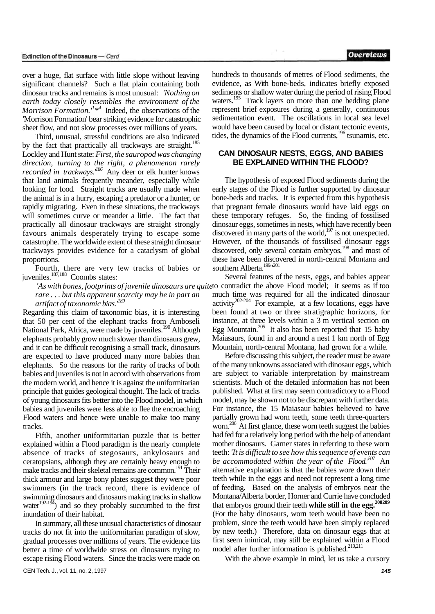over a huge, flat surface with little slope without leaving significant channels? Such a flat plain containing both dinosaur tracks and remains is most unusual: *'Nothing on earth today closely resembles the environment of the Morrison Formation.'<sup>1</sup> \* 4* Indeed, the observations of the 'Morrison Formation' bear striking evidence for catastrophic sheet flow, and not slow processes over millions of years.

Third, unusual, stressful conditions are also indicated by the fact that practically all trackways are straight.<sup>185</sup> Lockley and Hunt state: *First, the sauropod was changing direction, turning to the right, a phenomenon rarely recorded in trackways.'<sup>186</sup>* Any deer or elk hunter knows that land animals frequently meander, especially while looking for food. Straight tracks are usually made when the animal is in a hurry, escaping a predator or a hunter, or rapidly migrating. Even in these situations, the trackways will sometimes curve or meander a little. The fact that practically all dinosaur trackways are straight strongly favours animals desperately trying to escape some catastrophe. The worldwide extent of these straight dinosaur trackways provides evidence for a cataclysm of global proportions.

Fourth, there are very few tracks of babies or juveniles.<sup>187,188</sup> Coombs states:

*rare .* . . *but this apparent scarcity may be in part an artifact of taxonomic bias.'<sup>189</sup>*

Regarding this claim of taxonomic bias, it is interesting that 50 per cent of the elephant tracks from Amboseli National Park, Africa, were made by juveniles.<sup>190</sup> Although elephants probably grow much slower than dinosaurs grew, and it can be difficult recognising a small track, dinosaurs are expected to have produced many more babies than elephants. So the reasons for the rarity of tracks of both babies and juveniles is not in accord with observations from the modern world, and hence it is against the uniformitarian principle that guides geological thought. The lack of tracks of young dinosaurs fits better into the Flood model, in which babies and juveniles were less able to flee the encroaching Flood waters and hence were unable to make too many tracks.

Fifth, another uniformitarian puzzle that is better explained within a Flood paradigm is the nearly complete absence of tracks of stegosaurs, ankylosaurs and ceratopsians, although they are certainly heavy enough to make tracks and their skeletal remains are common.<sup>191</sup> Their thick armour and large bony plates suggest they were poor swimmers (in the track record, there is evidence of swimming dinosaurs and dinosaurs making tracks in shallow water $192-194$ ) and so they probably succumbed to the first inundation of their habitat.

In summary, all these unusual characteristics of dinosaur tracks do not fit into the uniformitarian paradigm of slow, gradual processes over millions of years. The evidence fits better a time of worldwide stress on dinosaurs trying to escape rising Flood waters. Since the tracks were made on

hundreds to thousands of metres of Flood sediments, the evidence, as With bone-beds, indicates briefly exposed sediments or shallow water during the period of rising Flood waters.<sup>195</sup> Track layers on more than one bedding plane represent brief exposures during a generally, continuous sedimentation event. The oscillations in local sea level would have been caused by local or distant tectonic events, tides, the dynamics of the Flood currents,<sup>196</sup> tsunamis, etc.

# **CAN DINOSAUR NESTS, EGGS, AND BABIES BE EXPLAINED WITHIN THE FLOOD?**

The hypothesis of exposed Flood sediments during the early stages of the Flood is further supported by dinosaur bone-beds and tracks. It is expected from this hypothesis that pregnant female dinosaurs would have laid eggs on these temporary refuges. So, the finding of fossilised dinosaur eggs, sometimes in nests, which have recently been discovered in many parts of the world, $197$  is not unexpected. However, of the thousands of fossilised dinosaur eggs discovered, only several contain embryos,<sup>198</sup> and most of these have been discovered in north-central Montana and southern Alberta.<sup>199</sup>"<sup>201</sup>

'As with bones, footprints of juvenile dinosaurs are quite to contradict the above Flood model; it seems as if too Several features of the nests, eggs, and babies appear much time was required for all the indicated dinosaur activity<sup>202-204</sup> For example, at a few locations, eggs have been found at two or three stratigraphic horizons, for instance, at three levels within a 3 m vertical section on Egg Mountain. $205$  It also has been reported that 15 baby Maiasaurs, found in and around a nest 1 km north of Egg Mountain, north-central Montana, had grown for a while.

Before discussing this subject, the reader must be aware of the many unknowns associated with dinosaur eggs, which are subject to variable interpretation by mainstream scientists. Much of the detailed information has not been published. What at first may seem contradictory to a Flood model, may be shown not to be discrepant with further data. For instance, the 15 Maiasaur babies believed to have partially grown had worn teeth, some teeth three-quarters worn.<sup>206</sup> At first glance, these worn teeth suggest the babies had fed for a relatively long period with the help of attendant mother dinosaurs. Garner states in referring to these worn teeth: *'It is difficult to see how this sequence of events can be accommodated within the year of the Flood.'<sup>207</sup>* An alternative explanation is that the babies wore down their teeth while in the eggs and need not represent a long time of feeding. Based on the analysis of embryos near the Montana/Alberta border, Horner and Currie have concluded that embryos ground their teeth **while still in the egg.<sup>208209</sup>** (For the baby dinosaurs, worn teeth would have been no problem, since the teeth would have been simply replaced by new teeth.) Therefore, data on dinosaur eggs that at first seem inimical, may still be explained within a Flood model after further information is published.<sup>210,211</sup>

With the above example in mind, let us take a cursory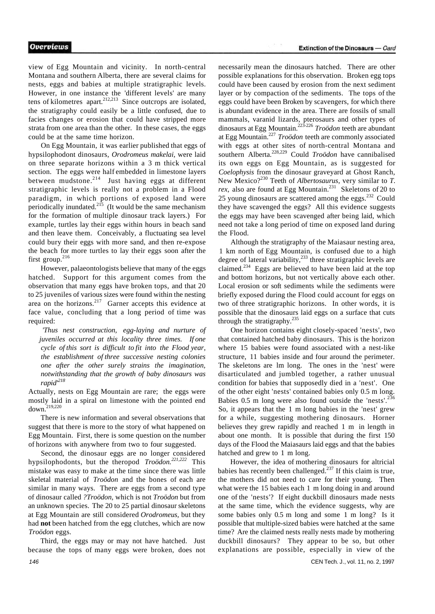view of Egg Mountain and vicinity. In north-central Montana and southern Alberta, there are several claims for nests, eggs and babies at multiple stratigraphic levels. However, in one instance the 'different levels' are many tens of kilometres apart. $2^{12,213}$  Since outcrops are isolated, the stratigraphy could easily be a little confused, due to facies changes or erosion that could have stripped more strata from one area than the other. In these cases, the eggs could be at the same time horizon.

On Egg Mountain, it was earlier published that eggs of hypsilophodont dinosaurs, *Orodromeus makelai,* were laid on three separate horizons within a 3 m thick vertical section. The eggs were half embedded in limestone layers between mudstone. $2^{14}$  Just having eggs at different stratigraphic levels is really not a problem in a Flood paradigm, in which portions of exposed land were periodically inundated.<sup>215</sup> (It would be the same mechanism for the formation of multiple dinosaur track layers.) For example, turtles lay their eggs within hours in beach sand and then leave them. Conceivably, a fluctuating sea level could bury their eggs with more sand, and then re-expose the beach for more turtles to lay their eggs soon after the first group. $216$ 

However, palaeontologists believe that many of the eggs hatched. Support for this argument comes from the observation that many eggs have broken tops, and that 20 to 25 juveniles of various sizes were found within the nesting area on the horizons. $2^{17}$  Garner accepts this evidence at face value, concluding that a long period of time was required:

*'Thus nest construction, egg-laying and nurture of juveniles occurred at this locality three times. If one cycle of this sort is difficult to fit into the Flood year, the establishment of three successive nesting colonies one after the other surely strains the imagination, notwithstanding that the growth of baby dinosaurs was rapid'<sup>218</sup>*

Actually, nests on Egg Mountain are rare; the eggs were mostly laid in a spiral on limestone with the pointed end down.219,220

There is new information and several observations that suggest that there is more to the story of what happened on Egg Mountain. First, there is some question on the number of horizons with anywhere from two to four suggested.

Second, the dinosaur eggs are no longer considered hypsilophodonts, but the theropod *Troödon.221,222* This mistake was easy to make at the time since there was little skeletal material of *Troödon* and the bones of each are similar in many ways. There are eggs from a second type of dinosaur called *?Troödon,* which is not *Troödon* but from an unknown species. The 20 to 25 partial dinosaur skeletons at Egg Mountain are still considered *Orodromeus,* but they had **not** been hatched from the egg clutches, which are now *Troödon* eggs.

Third, the eggs may or may not have hatched. Just because the tops of many eggs were broken, does not

necessarily mean the dinosaurs hatched. There are other possible explanations for this observation. Broken egg tops could have been caused by erosion from the next sediment layer or by compaction of the sediments. The tops of the eggs could have been Broken by scavengers, for which there is abundant evidence in the area. There are fossils of small mammals, varanid lizards, pterosaurs and other types of dinosaurs at Egg Mountain.223-226  *Troödon* teeth are abundant at Egg Mountain.<sup>227</sup>  *Troödon* teeth are commonly associated with eggs at other sites of north-central Montana and southern Alberta.<sup>228,229</sup> Could *Troödon* have cannibalised its own eggs on Egg Mountain, as is suggested for *Coelophysis* from the dinosaur graveyard at Ghost Ranch, New Mexico?<sup>230</sup> Teeth of *Albertosaurus,* very similar to *T. rex*, also are found at Egg Mountain.<sup>231</sup> Skeletons of 20 to 25 young dinosaurs are scattered among the eggs. $232$  Could they have scavenged the eggs? All this evidence suggests the eggs may have been scavenged after being laid, which need not take a long period of time on exposed land during the Flood.

Although the stratigraphy of the Maiasaur nesting area, 1 km north of Egg Mountain, is confused due to a high degree of lateral variability,<sup>233</sup> three stratigraphic levels are claimed.<sup>234</sup> Eggs are believed to have been laid at the top and bottom horizons, but not vertically above each other. Local erosion or soft sediments while the sediments were briefly exposed during the Flood could account for eggs on two of three stratigraphic horizons. In other words, it is possible that the dinosaurs laid eggs on a surface that cuts through the stratigraphy.<sup>235</sup>

One horizon contains eight closely-spaced 'nests', two that contained hatched baby dinosaurs. This is the horizon where 15 babies were found associated with a nest-like structure, 11 babies inside and four around the perimeter. The skeletons are lm long. The ones in the 'nest' were disarticulated and jumbled together, a rather unusual condition for babies that supposedly died in a 'nest'. One of the other eight 'nests' contained babies only 0.5 m long. Babies 0.5 m long were also found outside the 'nests'.<sup>236</sup> So, it appears that the 1 m long babies in the 'nest' grew for a while, suggesting mothering dinosaurs. Horner believes they grew rapidly and reached 1 m in length in about one month. It is possible that during the first 150 days of the Flood the Maiasaurs laid eggs and that the babies hatched and grew to 1 m long.

However, the idea of mothering dinosaurs for altricial babies has recently been challenged. $237$  If this claim is true, the mothers did not need to care for their young. Then what were the 15 babies each 1 m long doing in and around one of the 'nests'? If eight duckbill dinosaurs made nests at the same time, which the evidence suggests, why are some babies only 0.5 m long and some 1 m long? Is it possible that multiple-sized babies were hatched at the same time? Are the claimed nests really nests made by mothering duckbill dinosaurs? They appear to be so, but other explanations are possible, especially in view of the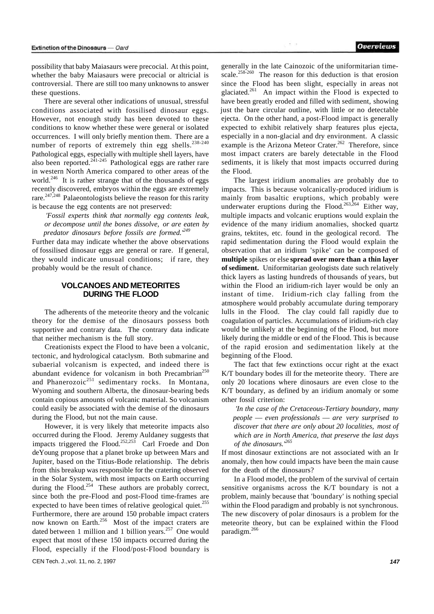possibility that baby Maiasaurs were precocial. At this point, whether the baby Maiasaurs were precocial or altricial is controversial. There are still too many unknowns to answer these questions.

There are several other indications of unusual, stressful conditions associated with fossilised dinosaur eggs. However, not enough study has been devoted to these conditions to know whether these were general or isolated occurrences. I will only briefly mention them. There are a number of reports of extremely thin egg shells.<sup>238-240</sup> Pathological eggs, especially with multiple shell layers, have also been reported. $241-245$  Pathological eggs are rather rare in western North America compared to other areas of the world.<sup>246</sup> It is rather strange that of the thousands of eggs recently discovered, embryos within the eggs are extremely rare.<sup>247,248</sup> Palaeontologists believe the reason for this rarity is because the egg contents are not preserved:

*'Fossil experts think that normally egg contents leak, or decompose until the bones dissolve, or are eaten by predator dinosaurs before fossils are formed.'<sup>249</sup>*

Further data may indicate whether the above observations of fossilised dinosaur eggs are general or rare. If general, they would indicate unusual conditions; if rare, they probably would be the result of chance.

## **VOLCANOES AND METEORITES DURING THE FLOOD**

The adherents of the meteorite theory and the volcanic theory for the demise of the dinosaurs possess both supportive and contrary data. The contrary data indicate that neither mechanism is the full story.

Creationists expect the Flood to have been a volcanic, tectonic, and hydrological cataclysm. Both submarine and subaerial volcanism is expected, and indeed there is abundant evidence for volcanism in both Precambrian<sup>250</sup> and Phanerozoi $c^{251}$  sedimentary rocks. In Montana, Wyoming and southern Alberta, the dinosaur-bearing beds contain copious amounts of volcanic material. So volcanism could easily be associated with the demise of the dinosaurs during the Flood, but not the main cause.

However, it is very likely that meteorite impacts also occurred during the Flood. Jeremy Auldaney suggests that impacts triggered the Flood.<sup>252,253</sup> Carl Froede and Don deYoung propose that a planet broke up between Mars and Jupiter, based on the Titius-Bode relationship. The debris from this breakup was responsible for the cratering observed in the Solar System, with most impacts on Earth occurring during the Flood.<sup>254</sup> These authors are probably correct, since both the pre-Flood and post-Flood time-frames are expected to have been times of relative geological quiet.<sup>255</sup> Furthermore, there are around 150 probable impact craters now known on Earth.<sup>256</sup> Most of the impact craters are dated between 1 million and 1 billion years. $257$  One would expect that most of these 150 impacts occurred during the Flood, especially if the Flood/post-Flood boundary is

generally in the late Cainozoic of the uniformitarian timescale.<sup>258-260</sup> The reason for this deduction is that erosion since the Flood has been slight, especially in areas not glaciated.<sup>261</sup> An impact within the Flood is expected to have been greatly eroded and filled with sediment, showing just the bare circular outline, with little or no detectable ejecta. On the other hand, a post-Flood impact is generally expected to exhibit relatively sharp features plus ejecta, especially in a non-glacial and dry environment. A classic example is the Arizona Meteor Crater.<sup>262</sup> Therefore, since most impact craters are barely detectable in the Flood sediments, it is likely that most impacts occurred during the Flood.

The largest iridium anomalies are probably due to impacts. This is because volcanically-produced iridium is mainly from basaltic eruptions, which probably were underwater eruptions during the Flood.<sup>263,264</sup> Either way, multiple impacts and volcanic eruptions would explain the evidence of the many iridium anomalies, shocked quartz grains, tektites, etc. found in the geological record. The rapid sedimentation during the Flood would explain the observation that an iridium 'spike' can be composed of **multiple** spikes or else **spread over more than a thin layer of sediment.** Uniformitarian geologists date such relatively thick layers as lasting hundreds of thousands of years, but within the Flood an iridium-rich layer would be only an instant of time. Iridium-rich clay falling from the atmosphere would probably accumulate during temporary lulls in the Flood. The clay could fall rapidly due to coagulation of particles. Accumulations of iridium-rich clay would be unlikely at the beginning of the Flood, but more likely during the middle or end of the Flood. This is because of the rapid erosion and sedimentation likely at the beginning of the Flood.

The fact that few extinctions occur right at the exact K/T boundary bodes ill for the meteorite theory. There are only 20 locations where dinosaurs are even close to the K/T boundary, as defined by an iridium anomaly or some other fossil criterion:

*'In the case of the Cretaceous-Tertiary boundary, many people* — *even professionals* — *are very surprised to discover that there are only about 20 localities, most of which are in North America, that preserve the last days of the dinosaurs.'<sup>265</sup>*

If most dinosaur extinctions are not associated with an Ir anomaly, then how could impacts have been the main cause for the death of the dinosaurs?

In a Flood model, the problem of the survival of certain sensitive organisms across the K/T boundary is not a problem, mainly because that 'boundary' is nothing special within the Flood paradigm and probably is not synchronous. The new discovery of polar dinosaurs is a problem for the meteorite theory, but can be explained within the Flood paradigm.<sup>266</sup>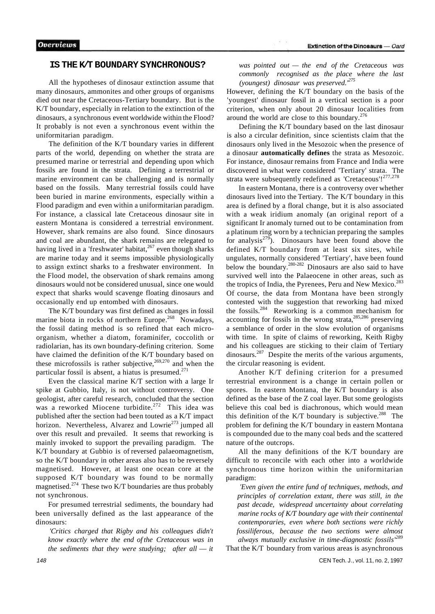#### **IS THE K/T BOUNDARY SYNCHRONOUS?**

All the hypotheses of dinosaur extinction assume that many dinosaurs, ammonites and other groups of organisms died out near the Cretaceous-Tertiary boundary. But is the K/T boundary, especially in relation to the extinction of the dinosaurs, a synchronous event worldwide within the Flood? It probably is not even a synchronous event within the uniformitarian paradigm.

The definition of the K/T boundary varies in different parts of the world, depending on whether the strata are presumed marine or terrestrial and depending upon which fossils are found in the strata. Defining a terrestrial or marine environment can be challenging and is normally based on the fossils. Many terrestrial fossils could have been buried in marine environments, especially within a Flood paradigm and even within a uniformitarian paradigm. For instance, a classical late Cretaceous dinosaur site in eastern Montana is considered a terrestrial environment. However, shark remains are also found. Since dinosaurs and coal are abundant, the shark remains are relegated to having lived in a 'freshwater' habitat, $2^{67}$  even though sharks are marine today and it seems impossible physiologically to assign extinct sharks to a freshwater environment. In the Flood model, the observation of shark remains among dinosaurs would not be considered unusual, since one would expect that sharks would scavenge floating dinosaurs and occasionally end up entombed with dinosaurs.

The K/T boundary was first defined as changes in fossil marine biota in rocks of northern Europe.<sup>268</sup> Nowadays, the fossil dating method is so refined that each microorganism, whether a diatom, foraminifer, coccolith or radiolarian, has its own boundary-defining criterion. Some have claimed the definition of the K/T boundary based on these microfossils is rather subjective,  $269,270$  and when the particular fossil is absent, a hiatus is presumed.<sup>271</sup>

Even the classical marine K/T section with a large Ir spike at Gubbio, Italy, is not without controversy. One geologist, after careful research, concluded that the section was a reworked Miocene turbidite.<sup>272</sup> This idea was published after the section had been touted as a K/T impact horizon. Nevertheless, Alvarez and Lowrie<sup>273</sup> jumped all over this result and prevailed. It seems that reworking is mainly invoked to support the prevailing paradigm. The K/T boundary at Gubbio is of reversed palaeomagnetism, so the K/T boundary in other areas also has to be reversely magnetised. However, at least one ocean core at the supposed K/T boundary was found to be normally magnetised.<sup>274</sup> These two K/T boundaries are thus probably not synchronous.

For presumed terrestrial sediments, the boundary had been universally defined as the last appearance of the dinosaurs:

*'Critics charged that Rigby and his colleagues didn't know exactly where the end of the Cretaceous was in the sediments that they were studying; after all* — *it*  *was pointed out — the end of the Cretaceous was commonly recognised as the place where the last (youngest) dinosaur was preserved.'<sup>275</sup>*

However, defining the K/T boundary on the basis of the 'youngest' dinosaur fossil in a vertical section is a poor criterion, when only about 20 dinosaur localities from around the world are close to this boundary.<sup>276</sup>

Defining the K/T boundary based on the last dinosaur is also a circular definition, since scientists claim that the dinosaurs only lived in the Mesozoic when the presence of a dinosaur **automatically defines** the strata as Mesozoic. For instance, dinosaur remains from France and India were discovered in what were considered 'Tertiary' strata. The strata were subsequently redefined as 'Cretaceous'!<sup>277,278</sup>

In eastern Montana, there is a controversy over whether dinosaurs lived into the Tertiary. The K/T boundary in this area is defined by a floral change, but it is also associated with a weak iridium anomaly (an original report of a significant Ir anomaly turned out to be contamination from a platinum ring worn by a technician preparing the samples for analysis $279$ . Dinosaurs have been found above the defined K/T boundary from at least six sites, while ungulates, normally considered 'Tertiary', have been found below the boundary.<sup>280-282</sup> Dinosaurs are also said to have survived well into the Palaeocene in other areas, such as the tropics of India, the Pyrenees, Peru and New Mexico.<sup>283</sup> Of course, the data from Montana have been strongly contested with the suggestion that reworking had mixed the fossils.<sup>284</sup> Reworking is a common mechanism for accounting for fossils in the wrong strata, $285,286$  preserving a semblance of order in the slow evolution of organisms with time. In spite of claims of reworking, Keith Rigby and his colleagues are sticking to their claim of Tertiary dinosaurs.<sup>287</sup> Despite the merits of the various arguments, the circular reasoning is evident.

Another K/T defining criterion for a presumed terrestrial environment is a change in certain pollen or spores. In eastern Montana, the K/T boundary is also defined as the base of the Z coal layer. But some geologists believe this coal bed is diachronous, which would mean this definition of the K/T boundary is subjective.<sup>288</sup> The problem for defining the K/T boundary in eastern Montana is compounded due to the many coal beds and the scattered nature of the outcrops.

All the many definitions of the K/T boundary are difficult to reconcile with each other into a worldwide synchronous time horizon within the uniformitarian paradigm:

*'Even given the entire fund of techniques, methods, and principles of correlation extant, there was still, in the past decade, widespread uncertainty about correlating marine rocks of K/T boundary age with their continental contemporaries, even where both sections were richly fossiliferous, because the two sections were almost always mutually exclusive in time-diagnostic fossils'<sup>289</sup>*

That the K/T boundary from various areas is asynchronous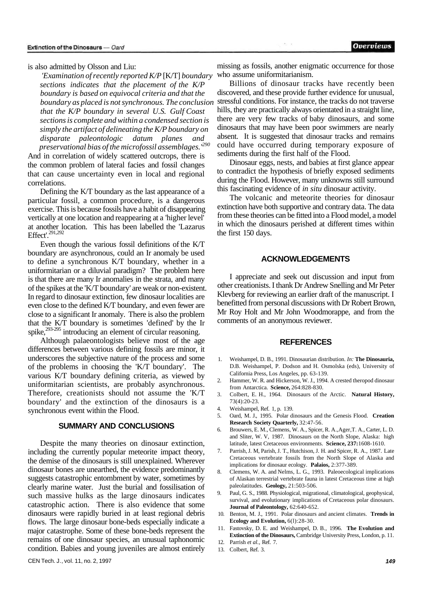#### is also admitted by Olsson and Liu:

*'Examination of recently reported K/P* [K/T] *boundary sections indicates that the placement of the K/P boundary is based on equivocal criteria and that the boundary as placed is not synchronous. The conclusion that the K/P boundary in several U.S. Gulf Coast sections is complete and within a condensed section is simply the artifact of delineating the K/P boundary on disparate paleontologic datum planes and preservational bias of the microfossil assemblages.'<sup>290</sup>*

And in correlation of widely scattered outcrops, there is the common problem of lateral facies and fossil changes that can cause uncertainty even in local and regional correlations.

Defining the K/T boundary as the last appearance of a particular fossil, a common procedure, is a dangerous exercise. This is because fossils have a habit of disappearing vertically at one location and reappearing at a 'higher level' at another location. This has been labelled the 'Lazarus Effect'.291,292

Even though the various fossil definitions of the K/T boundary are asynchronous, could an Ir anomaly be used to define a synchronous K/T boundary, whether in a uniformitarian or a diluvial paradigm? The problem here is that there are many Ir anomalies in the strata, and many of the spikes at the 'K/T boundary' are weak or non-existent. In regard to dinosaur extinction, few dinosaur localities are even close to the defined K/T boundary, and even fewer are close to a significant Ir anomaly. There is also the problem that the K/T boundary is sometimes 'defined' by the Ir spike,<sup>293-295</sup> introducing an element of circular reasoning.

Although palaeontologists believe most of the age differences between various defining fossils are minor, it underscores the subjective nature of the process and some of the problems in choosing the 'K/T boundary'. The various K/T boundary defining criteria, as viewed by uniformitarian scientists, are probably asynchronous. Therefore, creationists should not assume the 'K/T boundary' and the extinction of the dinosaurs is a synchronous event within the Flood.

#### **SUMMARY AND CONCLUSIONS**

Despite the many theories on dinosaur extinction, including the currently popular meteorite impact theory, the demise of the dinosaurs is still unexplained. Wherever dinosaur bones are unearthed, the evidence predominantly suggests catastrophic entombment by water, sometimes by clearly marine water. Just the burial and fossilisation of such massive hulks as the large dinosaurs indicates catastrophic action. There is also evidence that some dinosaurs were rapidly buried in at least regional debris flows. The large dinosaur bone-beds especially indicate a major catastrophe. Some of these bone-beds represent the remains of one dinosaur species, an unusual taphonomic condition. Babies and young juveniles are almost entirely

missing as fossils, another enigmatic occurrence for those who assume uniformitarianism.

Billions of dinosaur tracks have recently been discovered, and these provide further evidence for unusual, stressful conditions. For instance, the tracks do not traverse hills, they are practically always orientated in a straight line, there are very few tracks of baby dinosaurs, and some dinosaurs that may have been poor swimmers are nearly absent. It is suggested that dinosaur tracks and remains could have occurred during temporary exposure of sediments during the first half of the Flood.

Dinosaur eggs, nests, and babies at first glance appear to contradict the hypothesis of briefly exposed sediments during the Flood. However, many unknowns still surround this fascinating evidence of *in situ* dinosaur activity.

The volcanic and meteorite theories for dinosaur extinction have both supportive and contrary data. The data from these theories can be fitted into a Flood model, a model in which the dinosaurs perished at different times within the first 150 days.

#### **ACKNOWLEDGEMENTS**

I appreciate and seek out discussion and input from other creationists. I thank Dr Andrew Snelling and Mr Peter Klevberg for reviewing an earlier draft of the manuscript. I benefitted from personal discussions with Dr Robert Brown, Mr Roy Holt and Mr John Woodmorappe, and from the comments of an anonymous reviewer.

## **REFERENCES**

- 1. Weishampel, D. B., 1991. Dinosaurian distribution. *In:* **The Dinosauria,**  D.B. Weishampel, P. Dodson and H. Osmolska (eds), University of California Press, Los Angeles, pp. 63-139.
- 2. Hammer, W. R. and Hickerson, W. J., 1994. A crested theropod dinosaur from Antarctica. **Science,** 264:828-830.
- 3. Colbert, E. H., 1964. Dinosaurs of the Arctic. **Natural History,**  73(4):20-23.
- 4. Weishampel, Ref. 1, p. 139.
- 5. Oard, M. J., 1995. Polar dinosaurs and the Genesis Flood. **Creation Research Society Quarterly,** 32:47-56.
- 6. Brouwers, E. M., Clemens, W. A., Spicer, R. A.,Ager,T. A., Carter, L. D. and Sliter, W. V, 1987. Dinosaurs on the North Slope, Alaska: high latitude, latest Cretaceous environments. **Science, 237:**1608-1610.
- 7. Parrish, J. M, Parish, J. T., Hutchison, J. H. and Spicer, R. A., 1987. Late Cretaceous vertebrate fossils from the North Slope of Alaska and implications for dinosaur ecology. **Palaios,** 2:377-389.
- 8. Clemens, W. A. and Nelms, L. G., 1993. Paleoecological implications of Alaskan terrestrial vertebrate fauna in latest Cretaceous time at high paleolatitudes. **Geology,** 21:503-506.
- 9. Paul, G. S., 1988. Physiological, migrational, climatological, geophysical, survival, and evolutionary implications of Cretaceous polar dinosaurs. **Journal of Paleontology,** 62:640-652.
- 10. Benton, M. J., 1991. Polar dinosaurs and ancient climates. **Trends in Ecology and Evolution,** 6(l):28-30.
- 11. Fastovsky, D. E. and Weishampel, D. B., 1996. **The Evolution and Extinction of the Dinosaurs,** Cambridge University Press, London, p. 11.
- 12. Parrish *et al.,* Ref. 7. 13. Colbert, Ref. 3.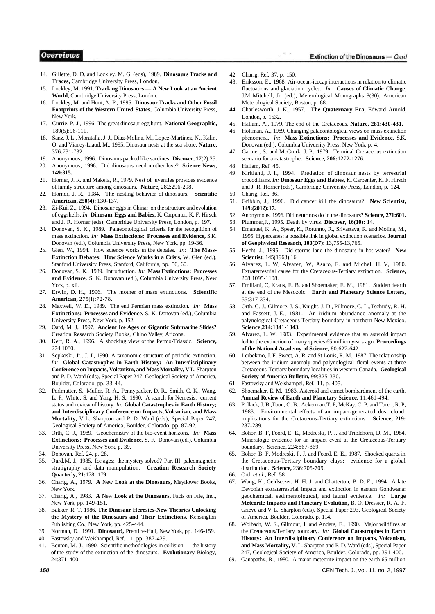#### **Overviews**

- 14. Gillette, D. D. and Lockley, M. G. (eds), 1989. **Dinosaurs Tracks and Traces,** Cambridge University Press, London.
- 15. Lockley, M, 1991. **Tracking Dinosaurs A New Look at an Ancient World,** Cambridge University Press, London.
- 16. Lockley, M. and Hunt, A. P., 1995. **Dinosaur Tracks and Other Fossil Footprints of the Western United States,** Columbia University Press, New York.
- 17. Currie, P. J., 1996. The great dinosaur egg hunt. **National Geographic,**  189(5):96-111.
- 18. Sanz, J. L., Moratalla, J. J., Diaz-Molina, M., Lopez-Martinez, N., Kalin, O. and Vianey-Liaud, M., 1995. Dinosaur nests at the sea shore. **Nature,**  376:731-732.
- 19. Anonymous, 1996. Dinosaurs packed like sardines. **Discover, 17**(2):25.
- 20. Anonymous, 1996. Did dinosaurs need mother love? **Science News, 149:315.**
- 21. Horner, J. R. and Makela, R., 1979. Nest of juveniles provides evidence of family structure among dinosaurs. **Nature,** 282:296-298.
- 22. Horner, J. R., 1984. The nesting behavior of dinosaurs. **Scientific American, 250(4):** 130-137.
- 23. Zi-Kui, Z., 1994. Dinosaur eggs in China: on the structure and evolution of eggshells. *In:* **Dinosaur Eggs and Babies,** K. Carpenter, K. F. Hirsch and J. R. Horner (eds), Cambridge University Press, London, p. 197.
- 24. Donovan, S. K., 1989. Palaeontological criteria for the recognition of mass extinction. *In:* **Mass Extinctions: Processes and Evidence,** S.K. Donovan (ed.), Columbia University Press, New York, pp. 19-36.
- 25. Glen, W., 1994. How science works in the debates. *In:* **The Mass-Extinction Debates: How Science Works in a Crisis,** W. Glen (ed.), Stanford University Press, Stanford, California, pp. 50, 60.
- 26. Donovan, S. K., 1989. Introduction. *In:* **Mass Extinctions: Processes and Evidence,** S. K. Donovan (ed.), Columbia University Press, New York, p. xii.
- 27. Erwin, D. H., 1996. The mother of mass extinctions. **Scientific American,** 275(l):72-78.
- 28. Maxwell, W. D., 1989. The end Permian mass extinction. *In:* **Mass Extinctions: Processes and Evidence,** S. K. Donovan (ed.), Columbia University Press, New York, p. 152.
- 29. Oard, M. J., 1997. **Ancient Ice Ages or Gigantic Submarine Slides?**  Creation Research Society Books, Chino Valley, Arizona.
- 30. Kerr, R. A., 1996. A shocking view of the Permo-Triassic. **Science,**  274:1080.
- 31. Sepkoski, Jr., J. J., 1990. A taxonomic structure of periodic extinction. *In:* **Global Catastrophes in Earth History: An Interdisciplinary Conference on Impacts, Volcanism, and Mass Mortality,** V L. Sharpton and P. D. Ward (eds), Special Paper 247, Geological Society of America, Boulder, Colorado, pp. 33-44.
- 32. Perlmutter, S., Muller, R. A., Pennypacker, D. R., Smith, C. K., Wang, L. P., White, S. and Yang, H. S., 1990. A search for Nemesis: current status and review of history. *In:* **Global Catastrophes in Earth History; and Interdisciplinary Conference on Impacts, Volcanism, and Mass Mortality,** V L. Sharpton and P. D. Ward (eds), Special Paper 247, Geological Society of America, Boulder, Colorado, pp. 87-92.
- 33. Orth, C. J., 1989. Geochemistry of the bio-event horizons. *In:* **Mass Extinctions: Processes and Evidence,** S. K. Donovan (ed.), Columbia University Press, New York, p. 39.
- 34. Donovan, Ref. 24, p. 28.
- 35. Oard,M. J., 1985. Ice ages; the mystery solved? Part III: paleomagnetic stratigraphy and data manipulation. **Creation Research Society Quarterly, 21:**178 179
- 36. Charig, A., 1979. **A** New **Look at the Dinosaurs,** Mayflower Books, New York.
- 37. Charig, A., 1983. **A** New **Look at the Dinosaurs,** Facts on File, Inc., New York, pp. 149-151.
- 38. Bakker, R. T, 1986. **The Dinosaur Heresies-New Theories Unlocking the Mystery of the Dinosaurs and Their Extinctions,** Kensington Publishing Co., New York, pp. 425-444.
- 39. Norman, D., 1991. **Dinosaur!,** Prentice-Hall, New York, pp. 146-159.
- 40. Fastovsky and Weishampel, Ref. 11, pp. 387-429.
- 41. Benton, M. J., 1990. Scientific methodologies in collision the history of the study of the extinction of the dinosaurs. **Evolutionary** Biology, 24:371 400.

42. Charig, Ref. 37, p. 150.

 $x = 3x$ 

- 43. Eriksson, E., 1968. Air-ocean-icecap interactions in relation to climatic fluctuations and glaciation cycles. *In:* **Causes of Climatic Change,**  J.M Mitchell, Jr. (ed.), Meterological Monographs 8(30), American Meterological Society, Boston, p. 68.
- **44.** Charlesworth, J. K., 1957. **The Quaternary Era,** Edward Arnold, London, p. 1532.
- 45. Hallam, A., 1979. The end of the Cretaceous. **Nature, 281:430-431.**
- 46. Hoffman, A., 1989. Changing palaeontological views on mass extinction phenomena. *In:* **Mass Extinctions: Processes and Evidence,** S.K. Donovan (ed.), Columbia University Press, New York, p. 4.
- 47. Gartner, S. and McGuirk, J. P., 1979. Terminal Cretaceous extinction scenario for a catastrophe. **Science, 206:**1272-1276.
- 48. Hallam, Ref. 45.
- 49. Kirkland, J. I., 1994. Predation of dinosaur nests by terrestrial crocodilians. *In:* **Dinosaur Eggs and Babies,** K. Carpenter, K. F. Hirsch and J. R. Horner (eds), Cambridge University Press, London, p. 124.
- 50. Charig, Ref. 36.
- 51. Gribbin, J., 1996. Did cancer kill the dinosaurs? **New Scientist, 149:(2012):17.**
- 52. Anonymous, 1996. Did neutrinos do in the dinosaurs? **Science, 271:601.**
- 53. Plummer,J., 1995. Death by virus. **Discover, 16(10):** 14.
- Emanuel, K. A., Speer, K., Rotunno, R., Srivastava, R. and Molina, M., 1995. Hypercanes: a possible link in global extinction scenarios. **Journal of Geophysical Research, 100(D7):** 13,755-13,765.
- 55. Hecht, J., 1995. Did storms land the dinosaurs in hot water? **New Scientist,** 145(1963):16.
- 56. Alvarez, L. W, Alvarez, W, Asaro, F. and Michel, H. V, 1980. Extraterrestrial cause for the Cretaceous-Tertiary extinction. **Science,**  208:1095-1108.
- 57. Emiliani, C, Kraus, E. B. and Shoemaker, E. M., 1981. Sudden dearth at the end of the Mesozoic. **Earth and Planetary Science Letters,**  55:317-334.
- 58. Orth, C. J., Gilmore, J. S., Knight, J. D., Pillmore, C. L.,Tschudy, R. H. and Fassett, J. E., 1981. An iridium abundance anomaly at the palynological Cretaceous-Tertiary boundary in northern New Mexico. **Science,214:1341-1343.**
- 59. Alvarez, L. W, 1983. Experimental evidence that an asteroid impact led to the extinction of many species 65 million years ago. **Proceedings of the National Academy of Science,** 80:627-642.
- 60. Lerbekmo, J. F, Sweet, A. R. and St Louis, R. M., 1987. The relationship between the iridium anomaly and palynological floral events at three Cretaceous-Tertiary boundary localities in western Canada. **Geological Society of America Bulletin,** 99:325-330.
- 61. Fastovsky and Weishampel, Ref. 11, p. 405.
- 62. Shoemaker, E. M., 1983. Asteroid and comet bombardment of the earth. **Annual Review of Earth and Planetary Science,** 11:461-494.
- Pollack, J. B.,Toon, O. B., Ackerman, T. P, McKay, C. P. and Turco, R. P, 1983. Environmental effects of an impact-generated dust cloud: implications for the Cretaceous-Tertiary extinctions. **Science, 219:**  287-289.
- 64. Bohor, B. F, Foord, E. E., Modreski, P. J. and Triplehorn, D. M., 1984. Mineralogic evidence for an impact event at the Cretaceous-Tertiary boundary. Science, 224:867-869.
- 65. Bohor, B. F, Modreski, P. J. and Foord, E. E., 1987. Shocked quartz in the Cretaceous-Tertiary boundary clays: evidence for a global distribution. **Science,** 236:705-709.
- 66. Orth *et al*., Ref. 58.
- 67. Wang, K., Geldsetzer, H. H. J. and Chatterton, B. D. E., 1994. A late Devonian extraterrestrial impact and extinction in eastern Gondwana: geochemical, sedimentological, and faunal evidence. *In:* **Large Meteorite Impacts and Planetary Evolution,** B. O. Dressier, R. A. F. Grieve and V L. Sharpton (eds), Special Paper 293, Geological Society of America, Boulder, Colorado, p. 114.
- 68. Wolbach, W. S., Gilmour, I. and Anders, E., 1990. Major wildfires at the Cretaceous/Tertiary boundary. *In:* **Global Catastrophes in Earth History: An Interdisciplinary Conference on Impacts, Volcanism, and Mass Mortality,** V. L. Sharpton and P. D. Ward (eds), Special Paper 247, Geological Society of America, Boulder, Colorado, pp. 391-400.
- 69. Ganapathy, R., 1980. A major meteorite impact on the earth 65 million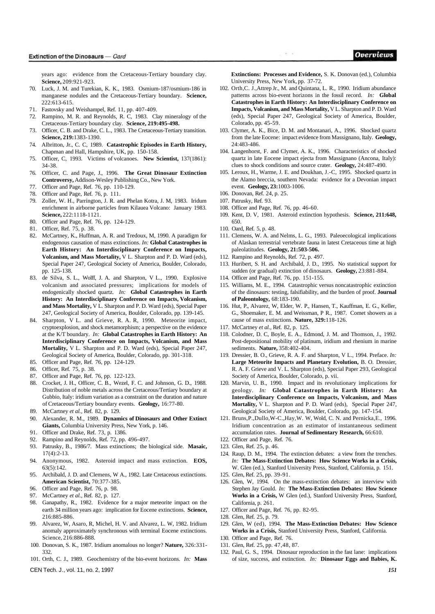years ago: evidence from the Cretaceous-Tertiary boundary clay. **Science,** 209:921-923.

- 70. Luck, J. M. and Turekian, K. K., 1983. Osmium-187/osmium-186 in manganese nodules and the Cretaceous-Tertiary boundary. **Science,**  222:613-615.
- 71. Fastovsky and Weishampel, Ref. 11, pp. 407-409.
- 72. Rampino, M. R. and Reynolds, R. C, 1983. Clay mineralogy of the Cretaceous-Tertiary boundary clay. **Science, 219:495-498.**
- 73. Officer, C. B. and Drake, C. L., 1983. The Cretaceous-Tertiary transition. **Science, 219:**1383-1390.
- 74. Albritton, Jr., C. C, 1989. **Catastrophic Episodes in Earth History,**  Chapman and Hall, Hampshire, UK, pp. 150-158.
- 75. Officer, C, 1993. Victims of volcanoes. **New Scientist,** 137(1861): 34-38.
- 76. Officer, C. and Page, J., 1996. **The Great Dinosaur Extinction Controversy,** Addison-Wesley Publishing Co., New York.
- 77. Officer and Page, Ref. 76, pp. 110-129.
- 78. Officer and Page, Ref. 76, p. 111.
- 79. Zoller, W. H., Parrington, J. R. and Phelan Kotra, J. M, 1983. Iridum enrichment in airborne particles from Kilauea Volcano: January 1983. **Science,** 222:1118-1121.
- 80. Officer and Page, Ref. 76, pp. 124-129.
- 81. Officer, Ref. 75, p. 38.
- 82. McCartney, K., Huffman, A. R. and Tredoux, M, 1990. A paradigm for endogenous causation of mass extinctions. *In:* **Global Catastrophes in Earth History: An Interdisciplinary Conference on Impacts, Volcanism, and Mass Mortality,** V L. Sharpton and P. D. Ward (eds), Special Paper 247, Geological Society of America, Boulder, Colorado, pp. 125-138.
- 83. de Silva, S. L., Wolff, J. A. and Sharpton, V L., 1990. Explosive volcanism and associated pressures; implications for models of endogenically shocked quartz. *In:* **Global Catastrophes in Earth History: An Interdisciplinary Conference on Impacts, Volcanism, and Mass Mortality,** V L. Sharpton and P. D. Ward (eds), Special Paper 247, Geological Society of America, Boulder, Colorado, pp. 139-145.
- 84. Sharpton, V L. and Grieve, R. A. R, 1990. Meteorite impact, cryptoexplosion, and shock metamorphism; a perspective on the evidence at the K/T boundary. *In:* **Global Catastrophes in Earth History: An Interdisciplinary Conference on Impacts, Volcanism, and Mass Mortality,** V L. Sharpton and P. D. Ward (eds), Special Paper 247, Geological Society of America, Boulder, Colorado, pp. 301-318.
- 85. Officer and Page, Ref. 76, pp. 124-129.
- 86. Officer, Ref. 75, p. 38.
- 87. Officer and Page, Ref. 76, pp. 122-123.
- 88. Crocket, J. H., Officer, C. B., Wezel, F. C. and Johnson, G. D., 1988. Distribution of noble metals across the Cretaceous/Tertiary boundary at Gubbio, Italy: iridium variation as a constraint on the duration and nature of Cretaceous/Tertiary boundary events. **Geology,** 16:77-80.
- 89. McCartney *et al.,* Ref. 82, p. 129.
- 90. Alexander, R. M., 1989. **Dynamics of Dinosaurs and Other Extinct Giants,** Columbia University Press, New York, p. 146.
- 91. Officer and Drake, Ref. 73, p. 1386.
- 92. Rampino and Reynolds, Ref. 72, pp. 496-497.
- 93. Patrusky, B., 1986/7. Mass extinctions; the biological side. **Masaic,**  17(4):2-13.
- 94. Anonymous, 1982. Asteroid impact and mass extinction. **EOS,**  63(5):142.
- 95. Archibald, J. D. and Clemens, W A., 1982. Late Cretaceous extinctions. **American Scientist,** 70:377-385.
- 96. Officer and Page, Ref. 76, p. 98.
- 97. McCartney *et al.,* Ref. 82, p. 127.
- 98. Ganapathy, R., 1982. Evidence for a major meteorite impact on the earth 34 million years ago: implication for Eocene extinctions. **Science,**  216:885-886.
- 99. Alvarez, W, Asaro, R, Michel, H. V. and Alvarez, L. W, 1982. Iridium anomaly approximately synchronous with terminal Eocene extinctions. Science, 216:886-888.
- 100. Donovan, S. K., 1987. Iridium anomalous no longer? **Nature,** 326:331- 332.
- 101. Orth, C. J., 1989. Geochemistry of the bio-event horizons. *In:* **Mass**
- CEN Tech. J., vol. 11, no. 2, 1997 *151*

**Extinctions: Processes and Evidence,** S. K. Donovan (ed.), Columbia University Press, New York, pp. 37-72*.* 

 $8 - 19$ 

- 102. Orth,C. J.,Attrep Jr., M. and Quintana, L. R., 1990. Iridium abundance patterns across bio-event horizons in the fossil record. *In:* **Global Catastrophes in Earth History: An Interdisciplinary Conference on Impacts, Volcanism, and Mass Mortality,** V L. Sharpton and P. D. Ward (eds), Special Paper 247, Geological Society of America, Boulder, Colorado, pp. 45-59.
- 103. Clymer, A. K., Bice, D. M. and Montanari, A., 1996. Shocked quartz from the late Eocene: impact evidence from Massignano, Italy. **Geology,**  24:483-486.
- 104. Langenhorst, F. and Clymer, A. K., 1996. Characteristics of shocked quartz in late Eocene impact ejecta from Massignano (Ancona, Italy): clues to shock conditions and source crater. **Geology,** 24:487-490.
- 105. Leroux, H., Warme, J. E. and Doukhan, J.-C, 1995. Shocked quartz in the Alamo breccia, southern Nevada: evidence for a Devonian impact event. **Geology, 23:**1003-1006.
- 106. Donovan, Ref. 24, p. 25.
- 107. Patrusky, Ref. 93.
- 108. Officer and Page, Ref. 76, pp. 46-60.
- 109. Kent, D. V, 1981. Asteroid extinction hypothesis. **Science, 211:648,**  650.
- 110. Oard, Ref. 5, p. 48.
- 111. Clemens, W. A. and Nelms, L. G., 1993. Paleoecological implications of Alaskan terrestrial vertebrate fauna in latest Cretaceous time at high paleolatitudes. **Geology, 21:503-506.**
- 112. Rampino and Reynolds, Ref. 72, p. 497.
- 113. Huribert, S. H. and Archibald, J. D., 1995. No statistical support for sudden (or gradual) extinction of dinosaurs. **Geology,** 23:881-884.
- 114. Officer and Page, Ref. 76, pp. 151-155.
- 115. Williams, M. E., 1994. Catastrophic versus noncatastrophic extinction of the dinosaurs: testing, falsifiability, and the burden of proof. **Journal of Paleontology,** 68:183-190.
- 116. Hut, P., Alvarez, W, Elder, W. P., Hansen, T., Kauffman, E. G., Keller, G., Shoemaker, E. M. and Weissman, P R., 1987. Comet showers as a cause of mass extinctions. **Nature, 329:**118-126.
- 117. McCartney *et al.,* Ref. 82, p. 125.
- 118. Colodner, D. C, Boyle, E. A., Edmond, J. M. and Thomson, J., 1992. Post-depositional mobility of platinum, iridium and rhenium in marine sediments. **Nature,** 358:402-404.
- 119. Dressier, B. O., Grieve, R. A. F. and Sharpton, V L., 1994. Preface. *In:*  **Large Meteorite Impacts and Planetary Evolution,** B. O. Dressier, R. A. F. Grieve and V. L. Sharpton (eds), Special Paper 293, Geological Society of America, Boulder, Colorado, p. vii.
- 120. Marvin, U. B., 1990. Impact and its revolutionary implications for geology. *In:* **Global Catastrophes in Earth History: An Interdisciplinary Conference on Impacts, Volcanism, and Mass Mortality,** V L. Sharpton and P. D. Ward (eds), Special Paper 247, Geological Society of America, Boulder, Colorado, pp. 147-154.
- 121. Bruns,P.,Dullo,W-C.,Hay,W. W, Wold, C. N. and Pernicka,E., 1996. Iridium concentration as an estimator of instantaneous sediment accumulation rates. **Journal of Sedimentary Research,** 66:610.
- 122. Officer and Page, Ref. 76.
- 123. Glen, Ref. 25, p. 46.
- 124. Raup, D. M., 1994. The extinction debates: a view from the trenches. *In:* **The Mass-Extinction Debates: How Science Works in a Crisis,**  W. Glen (ed.), Stanford University Press, Stanford, California, p. 151.
- 125. Glen, Ref. 25, pp. 39-91.
- 126. Glen, W, 1994. On the mass-extinction debates: an interview with Stephen Jay Gould. *In:* **The Mass-Extinction Debates: How Science Works in a Crisis,** W Glen (ed.), Stanford University Press, Stanford, California, p. 261.
- 127. Officer and Page, Ref. 76, pp. 82-95.
- 128. Glen, Ref. 25, p. 79.
- 129. Glen, W (ed), 1994. **The Mass-Extinction Debates: How Science Works in a Crisis,** Stanford University Press, Stanford, California.
- 130. Officer and Page, Ref. 76.
- 131. Glen, Ref. 25, pp. 47,48, 87.
- 132. Paul, G. S., 1994. Dinosaur reproduction in the fast lane: implications of size, success, and extinction. *In:* **Dinosaur Eggs and Babies, K.**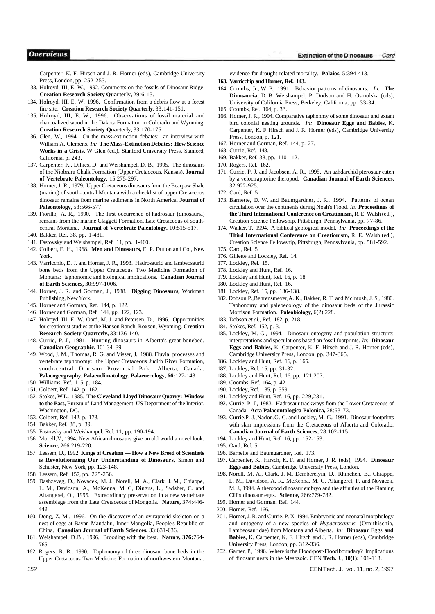Carpenter, K. F. Hirsch and J. R. Horner (eds), Cambridge University Press, London, pp. 252-253.

- 133. Holroyd, III, E. W., 1992. Comments on the fossils of Dinosaur Ridge. **Creation Research Society Quarterly,** 29:6-13.
- 134. Holroyd, III, E. W, 1996. Confirmation from a debris flow at a forest fire site. **Creation Research Society Quarterly,** 33:141-151.
- 135. Holroyd, III, E. W., 1996. Observations of fossil material and charcoalized wood in the Dakota Formation in Colorado and Wyoming. **Creation Research Society Quarterly,** 33:170-175.
- 136. Glen, W., 1994. On the mass-extinction debates: an interview with William A. Clemens. *In:* **The Mass-Extinction Debates: How Science Works in a Crisis,** W Glen (ed.), Stanford University Press, Stanford, California, p. 243.
- 137. Carpenter, K., Dilkes, D. and Weishampel, D. B., 1995. The dinosaurs of the Niobrara Chalk Formation (Upper Cretaceous, Kansas). **Journal of Vertebrate Paleontology,** 15:275-297.
- 138. Horner, J. R., 1979. Upper Cretaceous dinosaurs from the Bearpaw Shale (marine) of south-central Montana with a checklist of upper Cretaceous dinosaur remains from marine sediments in North America. **Journal of Paleontology,** 53:566-577.
- 139. Fiorillo, A. R., 1990. The first occurrence of hadrosaur (dinosauria) remains from the marine Claggett Formation, Late Cretaceous of southcentral Moritana. **Journal of Vertebrate Palentology,** 10:515-517.
- 140. Bakker, Ref. 38, pp. 1-481.
- 141. Fastovsky and Weishampel, Ref. 11, pp. 1-460.
- 142. Colbert, E. H., 1968. **Men and Dinosaurs,** E. P. Dutton and Co., New York.
- 143. Varricchio, D. J. and Horner, J. R., 1993. Hadrosaurid and lambeosaurid bone beds from the Upper Cretaceous Two Medicine Formation of Montana: taphonomic and biological implications. **Canadian Journal of Earth Sciences,** 30:997-1006.
- 144. Horner, J. R. and Gorman, J., 1988. **Digging Dinosaurs,** Workman Publishing, New York.
- 145. Horner and Gorman, Ref. 144, p. 122.
- 146. Horner and Gorman, Ref. 144, pp. 122, 123.
- 147. Holroyd, III, E. W, Oard, M. J. and Petersen, D., 1996. Opportunities for creationist studies at the Hanson Ranch, Roxson, Wyoming. **Creation Research Society Quarterly,** 33:136-140.
- 148. Currie, P. J., 1981. Hunting dinosaurs in Alberta's great bonebed. **Canadian Geographic,** 101:34 39.
- 149. Wood, J. M., Thomas, R. G. and Visser, J., 1988. Fluvial processes and vertebrate taphonomy: the Upper Cretaceous Judith River Formation, south-central Dinosaur Provincial Park, Alberta, Canada. **Palaeogeography, Palaeoclimatology, Palaeoecology, 66:**127-143.
- 150. Williams, Ref. 115, p. 184.
- 151. Colbert, Ref. 142, p. 162. 152. Stokes, W.L., 1985. **The Cleveland-Lloyd Dinosaur Quarry: Window to the Past,** Bureau of Land Management, US Department of the Interior, Washington, DC.
- 153. Colbert, Ref. 142, p. 173.
- 154. Bakker, Ref. 38, p. 39.
- 155. Fastovsky and Weishampel, Ref. 11, pp. 190-194.
- 156. Morell,V, 1994. New African dinosaurs give an old world a novel look. **Science,** 266:219-220.
- 157. Lessem, D., 1992. **Kings of Creation How a New Breed of Scientists is Revolutionizing Our Understanding of Dinosaurs,** Simon and Schuster, New York, pp. 123-148.
- 158. Lessem, Ref. 157, pp. 225-256.
- 159. Dashzeveg, D., Novacek, M. J., Norell, M. A., Clark, J. M., Chiappe, L. M., Davidson, A., McKenna, M. C, Dingus, L., Swisher, C. and Altangerel, O., 1995. Extraordinary preservation in a new vertebrate assemblage from the Late Cretaceous of Mongolia. **Nature,** 374:446- 449.
- 160. Dong, Z.-M., 1996. On the discovery of an oviraptorid skeleton on a nest of eggs at Bayan Mandahu, Inner Mongolia, People's Republic of China. **Canadian Journal of Earth Sciences,** 33:631-636.
- 161. Weishampel, D.B., 1996. Brooding with the best. **Nature, 376:**764- 765.
- 162. Rogers, R. R., 1990. Taphonomy of three dinosaur bone beds in the Upper Cretaceous Two Medicine Formation of northwestern Montana:

evidence for drought-related mortality. **Palaios,** 5:394-413.

- **163. Varricchip and Horner, Ref. 143.**
- 164. Coombs, Jr., W. P., 1991. Behavior patterns of dinosaurs. *In:* **The Dinosauria,** D. B. Weishampel, P. Dodson and H. Osmolska (eds), University of California Press, Berkeley, California, pp. 33-34.
- 165. Coombs, Ref. 164, p. 33.
- 166. Horner, J. R., 1994. Comparative taphonmy of some dinosaur and extant bird colonial nesting grounds. *In:* **Dinosaur Eggs and Babies,** K. Carpenter, K. F Hirsch and J. R. Horner (eds), Cambridge University Press, London, p. 121.
- 167. Horner and Gorman, Ref. 144, p. 27.
- 168. Currie, Ref. 148.
- 169. Bakker, Ref. 38, pp. 110-112.
- 170. Rogers, Ref. 162.
- 171. Currie, P. J. and Jacobsen, A. R., 1995. An azhdarchid pterosaur eaten by a velociraptorine theropod. **Canadian Journal of Earth Sciences,**  32:922-925.
- 172. Oard, Ref. 5.
- 173. Barnette, D. W. and Baumgardner, J. R., 1994. Patterns of ocean circulation over the continents during Noah's Flood. *In:* **Proceedings of the Third International Conference on Creationism,** R. E. Walsh (ed.), Creation Science Fellowship, Pittsburgh, Pennsylvania, pp. 77-86.
- 174. Walker, T, 1994. A biblical geological model. *In:* **Proceedings of the Third International Conference on Creationism,** R. E. Walsh (ed.), Creation Science Fellowship, Pittsburgh, Pennsylvania, pp. 581-592.
- 175. Oard, Ref. 5.
- 176. Gillette and Lockley, Ref. 14.
- 177. Lockley, Ref. 15.
- 178. Lockley and Hunt, Ref. 16.
- 179. Lockley and Hunt, Ref. 16, p. 18.
- 180. Lockley and Hunt, Ref. 16.
- 181. Lockley, Ref. 15, pp. 136-138.
- 182. Dobson,P.,Behrensmeyer,A. K., Bakker, R. T. and Mcintosh, J. S., 1980. Taphonomy and paleoecology of the dinosaur beds of the Jurassic Morrison Formation. **Paleobiology,** 6(2):228.
- 183. Dobson *et al.,* Ref. 182, p. 218.
- 184. Stokes, Ref. 152, p. 3.
- 185. Lockley, M. G., 1994. Dinosaur ontogeny and population structure: interpretations and speculations based on fossil footprints. *In:* **Dinosaur Eggs and Babies,** K. Carpenter, K. F. Hirsch and J. R. Horner (eds), Cambridge University Press, London, pp. 347-365.
- 186. Lockley and Hunt, Ref. 16, p. 165.
- 187. Lockley, Ref. 15, pp. 31-32.
- 188. Lockley and Hunt, Ref. 16, pp. 121,207.
- 189. Coombs, Ref. 164, p. 42.
- 190. Lockley, Ref. 185, p. 359.
- 191. Lockley and Hunt, Ref. 16, pp. 229,231.
- 192. Currie, P. J., 1983. Hadrosaur trackways from the Lower Cretaceous of Canada. **Acta Palaeontologica Polonica,** 28:63-73.
- 193. Currie,P. J.,Nadon,G. C. and Lockley, M. G., 1991. Dinosaur footprints with skin impressions from the Cretaceous of Alberta and Colorado. **Canadian Journal of Earth Sciences,** 28:102-115.
- 194. Lockley and Hunt, Ref. 16, pp. 152-153.
- 195. Oard, Ref. 5.
- 196. Barnette and Baumgardner, Ref. 173.
- 197. Carpenter, K., Hirsch, K. F. and Horner, J. R. (eds), 1994. **Dinosaur Eggs and Babies,** Cambridge University Press, London.
- 198. Norell, M. A., Clark, J. M, Demberelyin, D., Rhinchen, B., Chiappe, L. M., Davidson, A. R., McKenna, M. C, Altangerel, P. and Novacek, M. J., 1994. A theropod dinosaur embryo and the affinities of the Flaming Cliffs dinosaur eggs. **Science,** 266:779-782.
- 199. Horner and Gorman, Ref. 144.
- 200. Horner, Ref. 166.
- 201. Horner, J. R. and Currie, P. X, 1994. Embryonic and neonatal morphology and ontogeny of a new species of *Hypacrosaurus* (Ornithischia, Lambeosauridae) from Montana and Alberta. *In:* **Dinosaur** Eggs **and Babies,** K. Carpenter, K. F. Hirsch and J. R. Horner (eds), Cambridge University Press, London, pp. 312-336.
- 202. Garner, P., 1996. Where is the Flood/post-Flood boundary? Implications of dinosaur nests in the Mesozoic. CEN **Tech.** J., **10(1):** 101-113.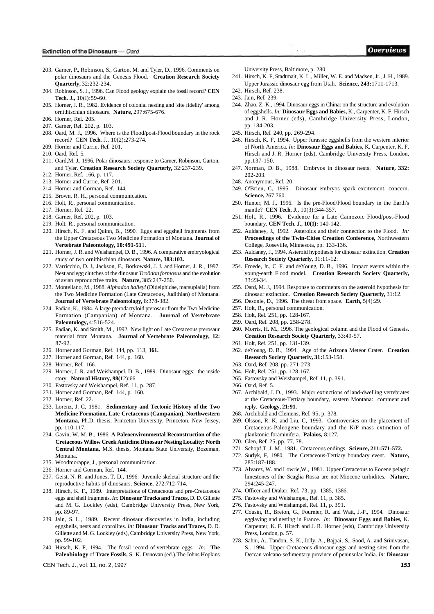- 203. Garner, P., Robinson, S., Garton, M. and Tyler, D., 1996. Comments on polar dinosaurs and the Genesis Flood. **Creation Research Society Quarterly,** 32:232-234.
- 204. Robinson, S. J., 1996. Can Flood geology explain the fossil record? **CEN Tech. J.,** 10(l):59-60.
- 205. Horner, J. R., 1982. Evidence of colonial nesting and 'site fidelity' among ornithischian dinosaurs. **Nature,** 297:675-676.
- 206. Horner, Ref. 205.
- 207. Garner, Ref. 202, p. 103.
- 208. Oard, M. J., 1996. Where is the Flood/post-Flood boundary in the rock record? CEN **Tech.** J., 10(2):273-274.
- 209. Horner and Currie, Ref. 201.
- 210. Oard, Ref. 5.
- 211. Oard,M. J., 1996. Polar dinosaurs: response to Garner, Robinson, Garton, and Tyler. **Creation Research Society Quarterly,** 32:237-239.
- 212. Horner, Ref. 166, p. 117.
- 213. Horner and Currie, Ref. 201.
- 214. Horner and Gorman, Ref. 144.
- 215. Brown, R. H., personal communication.
- 216. Holt, R., personal communication.
- 217. Horner, Ref. 22.
- 218. Garner, Ref. 202, p. 103.
- 219. Holt, R., personal communication.
- 220. Hirsch, K. F. and Quinn, B., 1990. Eggs and eggshell fragments from the Upper Cretaceous Two Medicine Formation of Montana. **Journal of Vertebrate Paleontology, 10:491-51**1.
- 221. Horner, J. R. and Weishampel, D. B., 1996. A comparative embryological study of two ornithischian dinosaurs. **Nature, 383:103.**
- 222. Varricchio, D. J., Jackson, F., Borkowski, J. J. and Horner, J. R., 1997. Nest and egg clutches of the dinosaur *Troödon formosus* and the evolution of avian reproductive traits. **Nature,** 385:247-250.
- 223. Montellano, M., 1988. *Alphadon halleyi* (Didelphidae, marsupialia) from the Two Medicine Formation (Late Cretaceous, Judithian) of Montana. **Journal of Vertebrate Paleontology,** 8:378-382.
- 224. Padian, K., 1984. A large pterodactyloid pterosaur from the Two Medicine Formation (Campanian) of Montana. **Journal of Vertebrate Paleontology,** 4:516-524.
- 225. Padian, K. and Smith, M., 1992. New light on Late Cretaceous pterosaur material from Montana. **Journal of Vertebrate Paleontology, 12:**  87-92.
- 226. Horner and Gorman, Ref. 144, pp. 113, **161.**
- 227. Horner and Gorman, Ref. 144, p. 160.
- 228. Horner, Ref. 166.
- 229. Horner, J. R. and Weishampel, D. B., 1989. Dinosaur eggs: the inside story. **Natural History, 98(1**2):66.
- 230. Fastovsky and Weishampel, Ref. 11, p. 287.
- 231. Horner and Gorman, Ref. 144, p. 160.
- 232. Horner, Ref. 22.
- 233. Lorenz, J. C, 1981. **Sedimentary and Tectonic History of the Two Medicine Formation, Late Cretaceous (Campanian), Northwestern Montana,** Ph.D. thesis, Princeton University, Princeton, New Jersey, pp. 110-117.
- 234. Gavin, W. M. B., 1986. **A Paleoenvironmental Reconstruction of the Cretaceous Willow Creek Anticline Dinosaur Nesting Locality: North Central Montana,** M.S. thesis, Montana State University, Bozeman, Montana.
- 235. Woodmorappe, J., personal communication.
- 236. Horner and Gorman, Ref. 144.
- 237. Geist, N. R. and Jones, T. D., 1996. Juvenile skeletal structure and the reproductive habits of dinosaurs. **Science,** 272:712-714.
- 238. Hirsch, K. F., 1989. Interpretations of Cretaceous and pre-Cretaceous eggs and shell fragments. *In:* **Dinosaur Tracks and Traces,** D. D. Gillette and M. G. Lockley (eds), Cambridge University Press, New York, pp. 89-97.
- 239. Jain, S. L., 1989. Recent dinosaur discoveries in India, including eggshells, nests and coprolites. *In:* **Dinosaur Tracks and Traces,** D. D. Gillette and M. G. Lockley (eds), Cambridge University Press, New York, pp. 99-102.
- 240. Hirsch, K. F, 1994. The fossil record of vertebrate eggs. *In:* **The Paleobiology** of **Trace Fossils,** S. K. Donovan (ed.),The Johns Hopkins

CEN Tech. J., vol. 11, no. 2, 1997 **153** 

University Press, Baltimore, p. 280.

- 241. Hirsch, K. F, Stadtmait, K. L., Miller, W. E. and Madsen, Jr., J. H., 1989. Upper Jurassic dinosaur egg from Utah. **Science, 243:**1711-1713.
- 242. Hirsch, Ref. 238.
- 243. Jain, Ref. 239.
- 244. Zhao, Z.-K., 1994. Dinosaur eggs in China: on the structure and evolution of eggshells. *In:* **Dinosaur Eggs and Babies,** K., Carpenter, K. F. Hirsch and J. R. Horner (eds), Cambridge University Press, London, pp. 184-203.
- 245. Hirsch, Ref. 240, pp. 269-294.
- 246. Hirsch, K. F, 1994. Upper Jurassic eggshells from the western interior of North America. *In:* **Dinosaur Eggs and Babies,** K. Carpenter, K. F. Hirsch and J. R. Horner (eds), Cambridge University Press, London, pp.137-150.
- 247. Norman, D. B., 1988. Embryos in dinosaur nests. **Nature, 332:**  202-203.
- 248. Anonymous, Ref. 20.
- 249. O'Brien, C, 1995. Dinosaur embryos spark excitement, concern. **Science,** 267:760.
- 250. Hunter, M. J., 1996. Is the pre-Flood/Flood boundary in the Earth's mantle? **CEN Tech. J.,** 10(3):344-357.
- 251. Holt, R., 1996. Evidence for a Late Cainozoic Flood/post-Flood boundary. **CEN Tech. J., 10(1):** 140-142.
- 252. Auldaney, J., 1992. Asteroids and their connection to the Flood. *In:*  **Proceedings of the Twin-Cities Creation Conference,** Northwestern College, Roseville, Minnesota, pp. 133-136.
- 253. Auldaney, J., 1994. Asteroid hypothesis for dinosaur extinction. **Creation Research Society Quarterly,** 31:11-12.
- 254. Froede, Jr., C. F. and deYoung, D. B., 1996. Impact events within the young-earth Flood model. **Creation Research Society Quarterly,**  33:23-34.
- 255. Oard, M. J., 1994. Response to comments on the asteroid hypothesis for dinosaur extinction. **Creation Research Society Quarterly,** 31:12.
- 256. Desonie, D., 1996. The threat from space. **Earth,** 5(4):29.
- 257. Holt, R., personal communication.
- 258. Holt, Ref. 251, pp. 128-167.
- 259. Oard, Ref. 208, pp. 258-278.
- 260. Morris, H. M., 1996. The geological column and the Flood of Genesis. **Creation Research Society Quarterly,** 33:49-57.
- 261. Holt, Ref. 251, pp. 131-139.
- 262. deYoung, D. B., 1994. Age of the Arizona Meteor Crater. **Creation Research Society Quarterly, 31:**153-158.
- 263. Oard, Ref. 208, pp. 271-273.
- 264. Holt, Ref. 251, pp. 128-167.
- 265. Fastovsky and Weishampel, Ref. 11, p. 391.
- 266. Oard, Ref. 5.
- 267. Archibald, J. D., 1993. Major extinctions of land-dwelling vertebrates at the Cretaceous-Tertiary boundary, eastern Montana: comment and reply. **Geology, 21:91.**
- 268. Archibald and Clemens, Ref. 95, p. 378.
- 269. Olsson, R. K. and Liu, C, 1993. Controversies on the placement of Cretaceous-Paleogene boundary and the K/P mass extinction of planktonic foraminifera. **Palaios,** 8:127.
- 270. Glen, Ref. 25, pp. 77, 78.
- 271. Schopf,T. J. M., 1981. Cretaceous endings. **Science, 211:571-572.**
- 272. Surlyk, F, 1980. The Cretaceous-Tertiary boundary event. **Nature,**  285:187-188.
- 273. Alvarez, W. and Lowrie,W., 1981. Upper Cretaceous to Eocene pelagic limestones of the Scaglia Rossa are not Miocene turbidites. **Nature,**  294:245-247.
- 274. Officer and Draker, Ref. 73, pp. 1385, 1386.
- 275. Fastovsky and Weishampel, Ref. 11, p. 385.
- 276. Fastovsky and Weishampel, Ref. 11, p. 391.
- 277. Cousin, R., Breton, G., Fournier, R. and Watt, J.-P., 1994. Dinosaur egglaying and nesting in France. *In:* **Dinosaur Eggs and Babies,** K. Carpenter, K. F. Hirsch and J. R. Horner (eds), Cambridge University Press, London, p. 57.
- 278. Sahni, A., Tandon, S. K., Jolly, A., Bajpai, S., Sood, A. and Srinivasan, S., 1994. Upper Cretaceous dinosaur eggs and nesting sites from the Deccan volcano-sedimentary province of peninsular India. *In:* **Dinosaur**